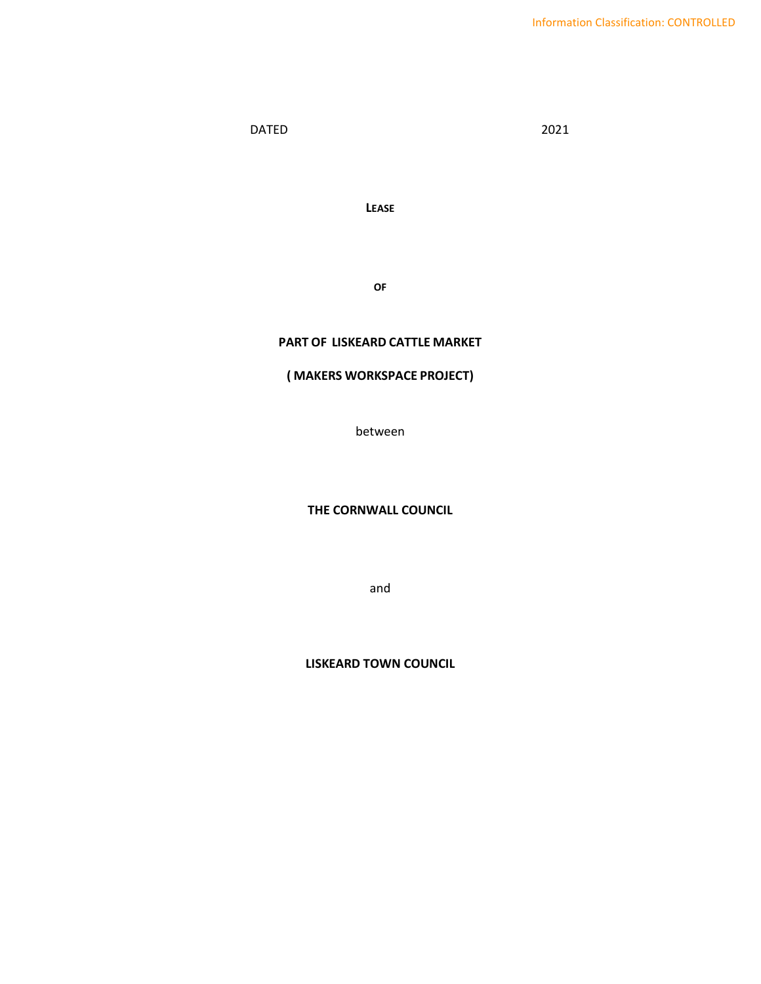DATED 2021

**LEASE**

**OF** 

# **PART OF LISKEARD CATTLE MARKET**

# **( MAKERS WORKSPACE PROJECT)**

between

#### **THE CORNWALL COUNCIL**

and

**LISKEARD TOWN COUNCIL**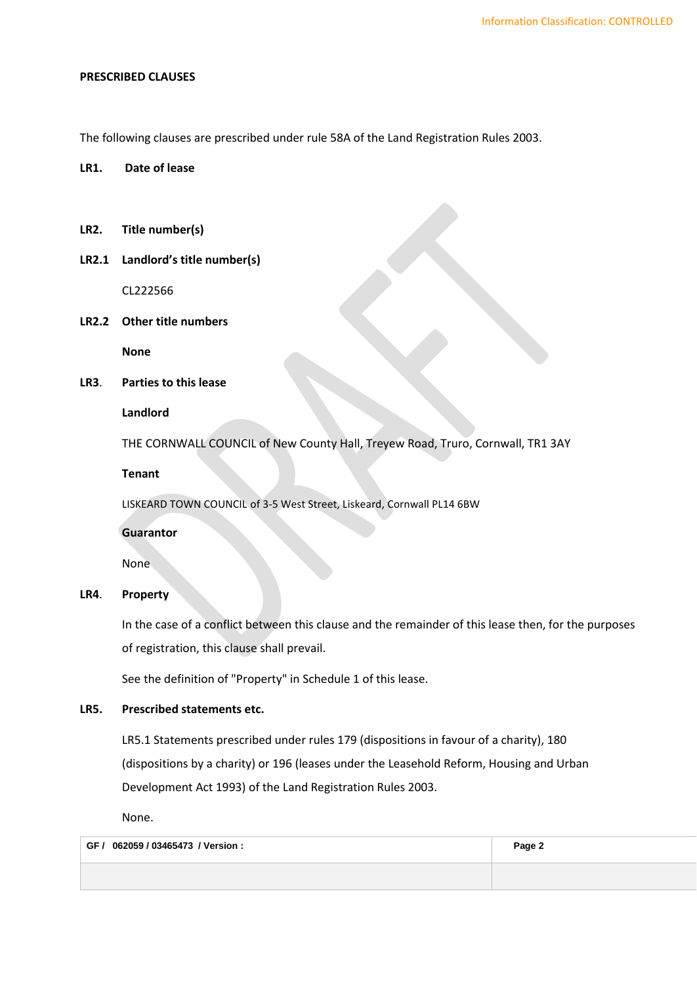#### **PRESCRIBED CLAUSES**

The following clauses are prescribed under rule 58A of the Land Registration Rules 2003.

## **LR1. Date of lease**

- **LR2. Title number(s)**
- **LR2.1 Landlord's title number(s)**

CL222566

**LR2.2 Other title numbers**

**None**

**LR3**. **Parties to this lease**

#### **Landlord**

THE CORNWALL COUNCIL of New County Hall, Treyew Road, Truro, Cornwall, TR1 3AY

**Tenant**

LISKEARD TOWN COUNCIL of 3-5 West Street, Liskeard, Cornwall PL14 6BW

**Guarantor**

None

## **LR4**. **Property**

In the case of a conflict between this clause and the remainder of this lease then, for the purposes of registration, this clause shall prevail.

See the definition of "Property" in Schedule 1 of this lease.

# **LR5. Prescribed statements etc.**

LR5.1 Statements prescribed under rules 179 (dispositions in favour of a charity), 180 (dispositions by a charity) or 196 (leases under the Leasehold Reform, Housing and Urban Development Act 1993) of the Land Registration Rules 2003.

None.

| GF / 062059 / 03465473 / Version : | Page 2 |
|------------------------------------|--------|
|                                    |        |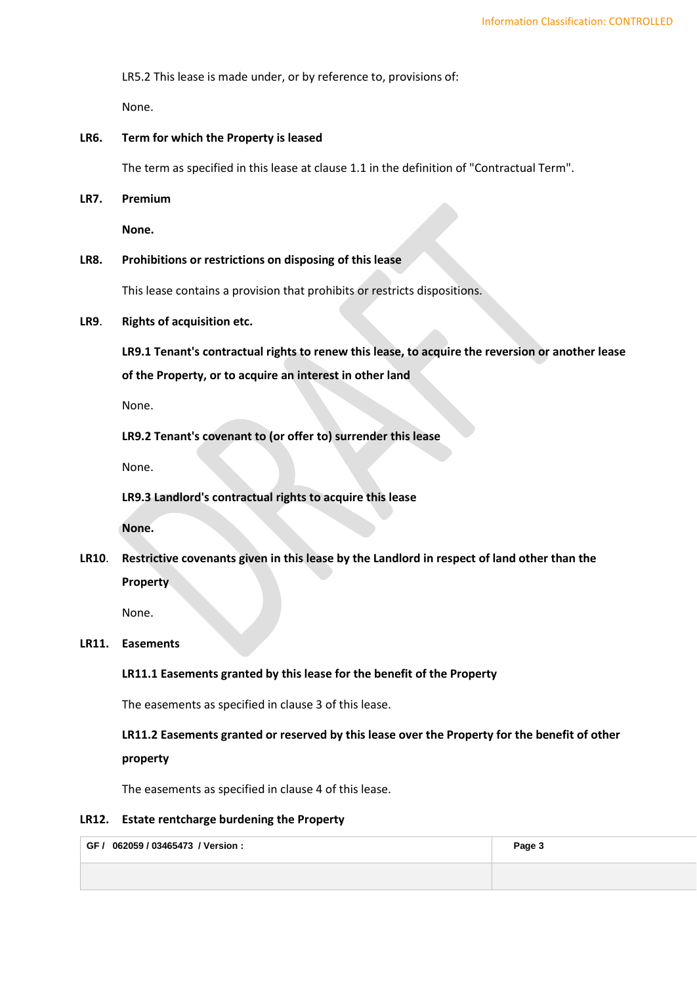LR5.2 This lease is made under, or by reference to, provisions of:

None.

# **LR6. Term for which the Property is leased**

The term as specified in this lease at clause [1.1](#page-4-0) in the definition of "Contractual Term".

**LR7. Premium**

**None.**

## **LR8. Prohibitions or restrictions on disposing of this lease**

This lease contains a provision that prohibits or restricts dispositions.

**LR9**. **Rights of acquisition etc.**

**LR9.1 Tenant's contractual rights to renew this lease, to acquire the reversion or another lease of the Property, or to acquire an interest in other land**

None.

**LR9.2 Tenant's covenant to (or offer to) surrender this lease**

None.

**LR9.3 Landlord's contractual rights to acquire this lease**

**None.**

**LR10**. **Restrictive covenants given in this lease by the Landlord in respect of land other than the Property**

None.

#### **LR11. Easements**

**LR11.1 Easements granted by this lease for the benefit of the Property**

The easements as specified in clause [3](#page-9-0) of this lease.

**LR11.2 Easements granted or reserved by this lease over the Property for the benefit of other property**

The easements as specified in clause [4](#page-10-0) of this lease.

#### **LR12. Estate rentcharge burdening the Property**

| 062059 / 03465473 / Version :<br>GF / | Page 3 |
|---------------------------------------|--------|
|                                       |        |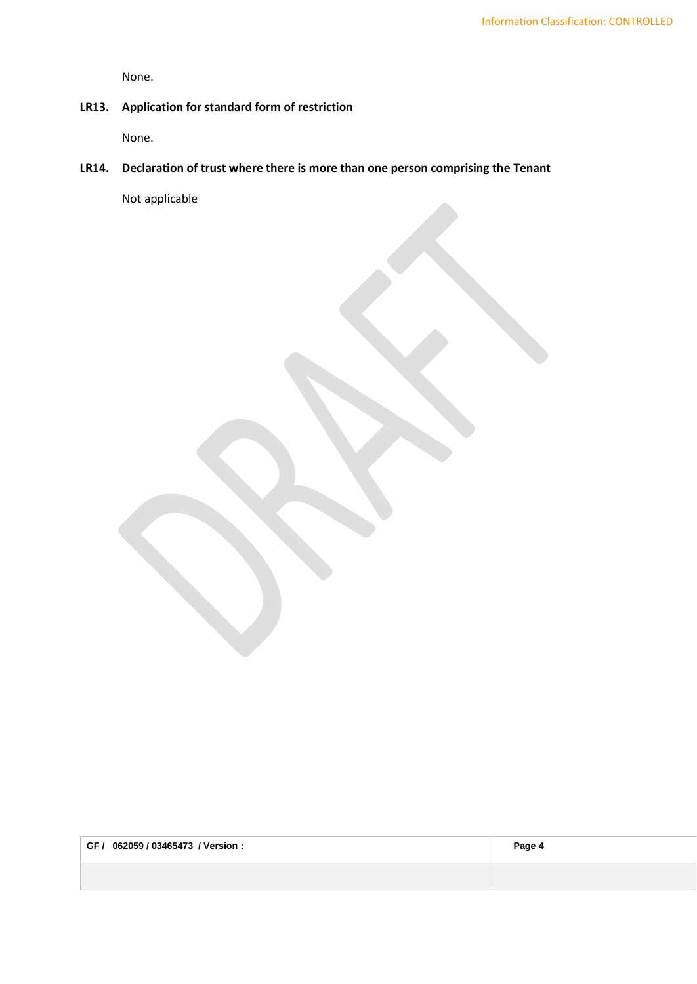None.

# **LR13. Application for standard form of restriction**

None.

# **LR14. Declaration of trust where there is more than one person comprising the Tenant**

Not applicable

| 062059 / 03465473 <i>/</i> Version :<br>GF / | Page 4 |
|----------------------------------------------|--------|
|                                              |        |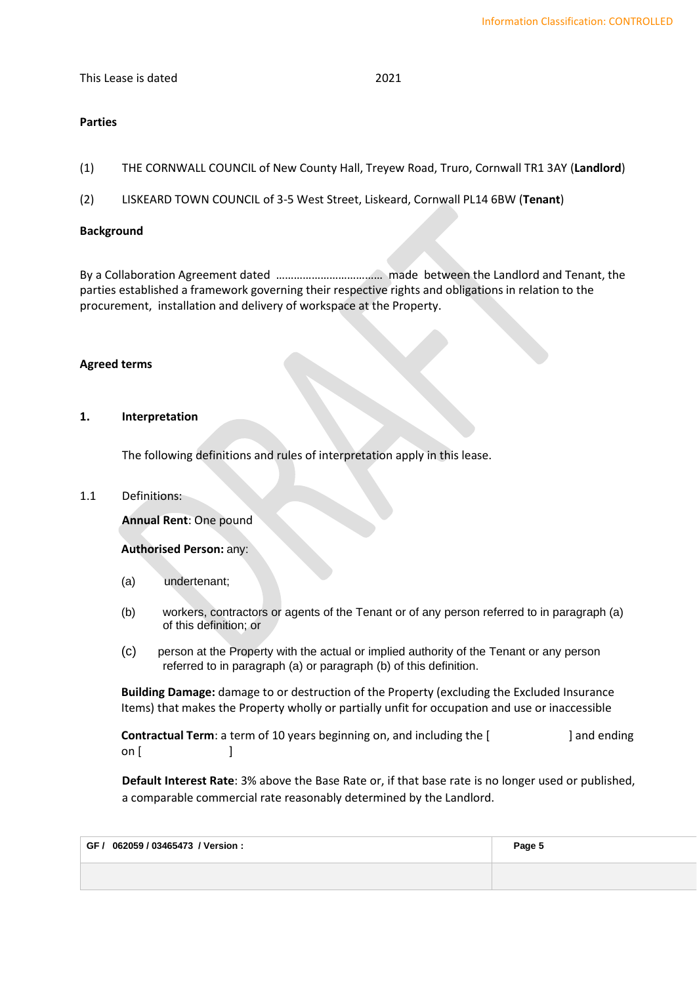#### This Lease is dated 2021

# **Parties**

- (1) THE CORNWALL COUNCIL of New County Hall, Treyew Road, Truro, Cornwall TR1 3AY (**Landlord**)
- (2) LISKEARD TOWN COUNCIL of 3-5 West Street, Liskeard, Cornwall PL14 6BW (**Tenant**)

# **Background**

By a Collaboration Agreement dated ……………………………… made between the Landlord and Tenant, the parties established a framework governing their respective rights and obligations in relation to the procurement, installation and delivery of workspace at the Property.

### **Agreed terms**

#### **1. Interpretation**

The following definitions and rules of interpretation apply in this lease.

<span id="page-4-0"></span>1.1 Definitions:

**Annual Rent**: One pound

**Authorised Person:** any:

- (a) undertenant;
- (b) workers, contractors or agents of the Tenant or of any person referred to in paragraph (a) of this definition; or
- (c) person at the Property with the actual or implied authority of the Tenant or any person referred to in paragraph (a) or paragraph (b) of this definition.

**Building Damage:** damage to or destruction of the Property (excluding the Excluded Insurance Items) that makes the Property wholly or partially unfit for occupation and use or inaccessible

**Contractual Term**: a term of 10 years beginning on, and including the [  $\qquad$  ] and ending on [ ]

**Default Interest Rate**: 3% above the Base Rate or, if that base rate is no longer used or published, a comparable commercial rate reasonably determined by the Landlord.

| GF / 062059 / 03465473 / Version : | Page 5 |
|------------------------------------|--------|
|                                    |        |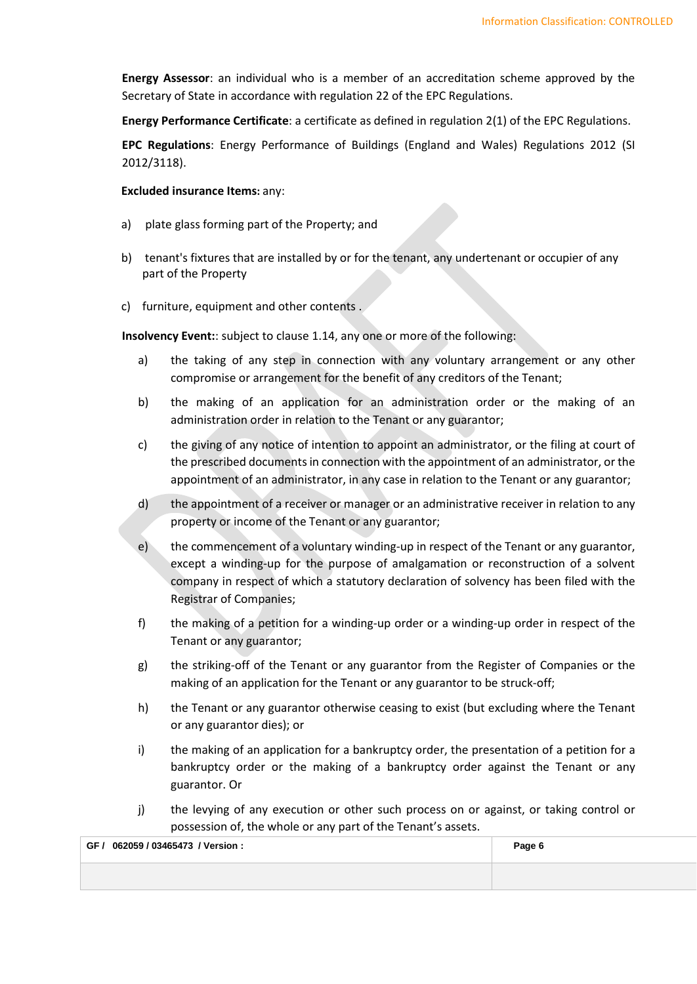**Energy Assessor**: an individual who is a member of an accreditation scheme approved by the Secretary of State in accordance with regulation 22 of the EPC Regulations.

**Energy Performance Certificate**: a certificate as defined in regulation 2(1) of the EPC Regulations.

**EPC Regulations**: Energy Performance of Buildings (England and Wales) Regulations 2012 (SI 2012/3118).

#### **Excluded insurance Items:** any:

- a) plate glass forming part of the Property; and
- b) tenant's fixtures that are installed by or for the tenant, any undertenant or occupier of any part of the Property
- c) furniture, equipment and other contents .

**Insolvency Event:**: subject to [clause](#page-8-0) 1.14, any one or more of the following:

- a) the taking of any step in connection with any voluntary arrangement or any other compromise or arrangement for the benefit of any creditors of the Tenant;
- b) the making of an application for an administration order or the making of an administration order in relation to the Tenant or any guarantor;
- c) the giving of any notice of intention to appoint an administrator, or the filing at court of the prescribed documents in connection with the appointment of an administrator, or the appointment of an administrator, in any case in relation to the Tenant or any guarantor;
- d) the appointment of a receiver or manager or an administrative receiver in relation to any property or income of the Tenant or any guarantor;
- e) the commencement of a voluntary winding-up in respect of the Tenant or any guarantor, except a winding-up for the purpose of amalgamation or reconstruction of a solvent company in respect of which a statutory declaration of solvency has been filed with the Registrar of Companies;
- f) the making of a petition for a winding-up order or a winding-up order in respect of the Tenant or any guarantor;
- g) the striking-off of the Tenant or any guarantor from the Register of Companies or the making of an application for the Tenant or any guarantor to be struck-off;
- h) the Tenant or any guarantor otherwise ceasing to exist (but excluding where the Tenant or any guarantor dies); or
- i) the making of an application for a bankruptcy order, the presentation of a petition for a bankruptcy order or the making of a bankruptcy order against the Tenant or any guarantor. Or
- j) the levying of any execution or other such process on or against, or taking control or possession of, the whole or any part of the Tenant's assets.

| GF / 062059 / 03465473 / Version : | Page 6 |
|------------------------------------|--------|
|                                    |        |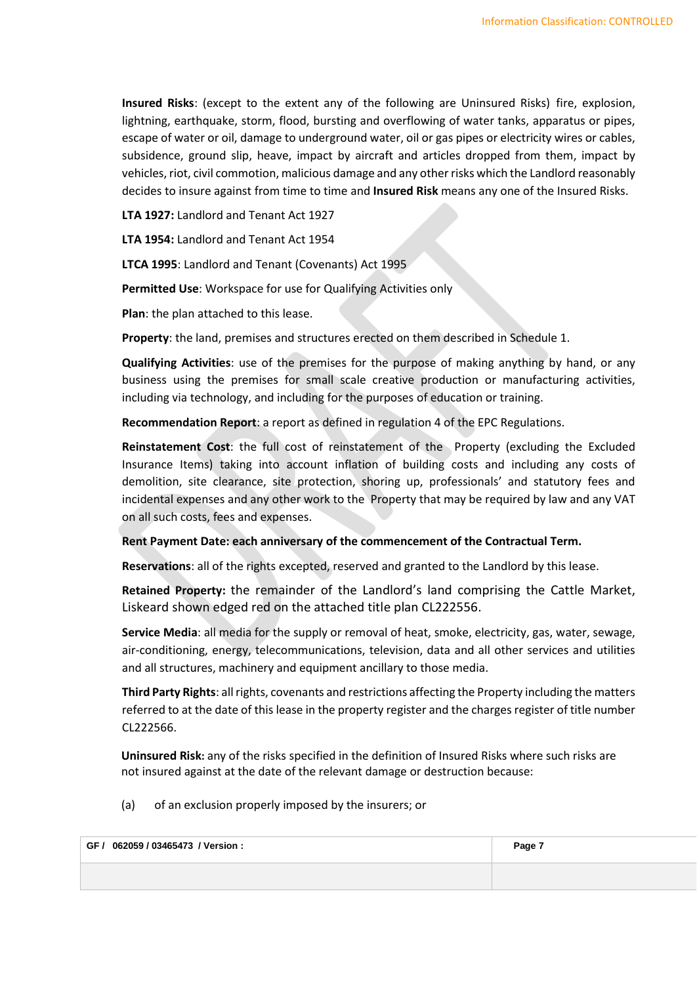**Insured Risks**: (except to the extent any of the following are Uninsured Risks) fire, explosion, lightning, earthquake, storm, flood, bursting and overflowing of water tanks, apparatus or pipes, escape of water or oil, damage to underground water, oil or gas pipes or electricity wires or cables, subsidence, ground slip, heave, impact by aircraft and articles dropped from them, impact by vehicles, riot, civil commotion, malicious damage and any other risks which the Landlord reasonably decides to insure against from time to time and **Insured Risk** means any one of the Insured Risks.

**LTA 1927:** Landlord and Tenant Act 1927

**LTA 1954:** Landlord and Tenant Act 1954

**LTCA 1995**: Landlord and Tenant (Covenants) Act 1995

**Permitted Use**: Workspace for use for Qualifying Activities only

**Plan**: the plan attached to this lease.

**Property**: the land, premises and structures erected on them described in [Schedule 1.](#page-15-0)

**Qualifying Activities**: use of the premises for the purpose of making anything by hand, or any business using the premises for small scale creative production or manufacturing activities, including via technology, and including for the purposes of education or training.

**Recommendation Report**: a report as defined in regulation 4 of the EPC Regulations.

**Reinstatement Cost**: the full cost of reinstatement of the Property (excluding the Excluded Insurance Items) taking into account inflation of building costs and including any costs of demolition, site clearance, site protection, shoring up, professionals' and statutory fees and incidental expenses and any other work to the Property that may be required by law and any VAT on all such costs, fees and expenses.

**Rent Payment Date: each anniversary of the commencement of the Contractual Term.**

**Reservations**: all of the rights excepted, reserved and granted to the Landlord by this lease.

**Retained Property:** the remainder of the Landlord's land comprising the Cattle Market, Liskeard shown edged red on the attached title plan CL222556.

**Service Media**: all media for the supply or removal of heat, smoke, electricity, gas, water, sewage, air-conditioning, energy, telecommunications, television, data and all other services and utilities and all structures, machinery and equipment ancillary to those media.

**Third Party Rights**: all rights, covenants and restrictions affecting the Property including the matters referred to at the date of this lease in the property register and the charges register of title number CL222566.

**Uninsured Risk:** any of the risks specified in the definition of Insured Risks where such risks are not insured against at the date of the relevant damage or destruction because:

(a) of an exclusion properly imposed by the insurers; or

| GF / 062059 / 03465473 / Version : | Page 7 |
|------------------------------------|--------|
|                                    |        |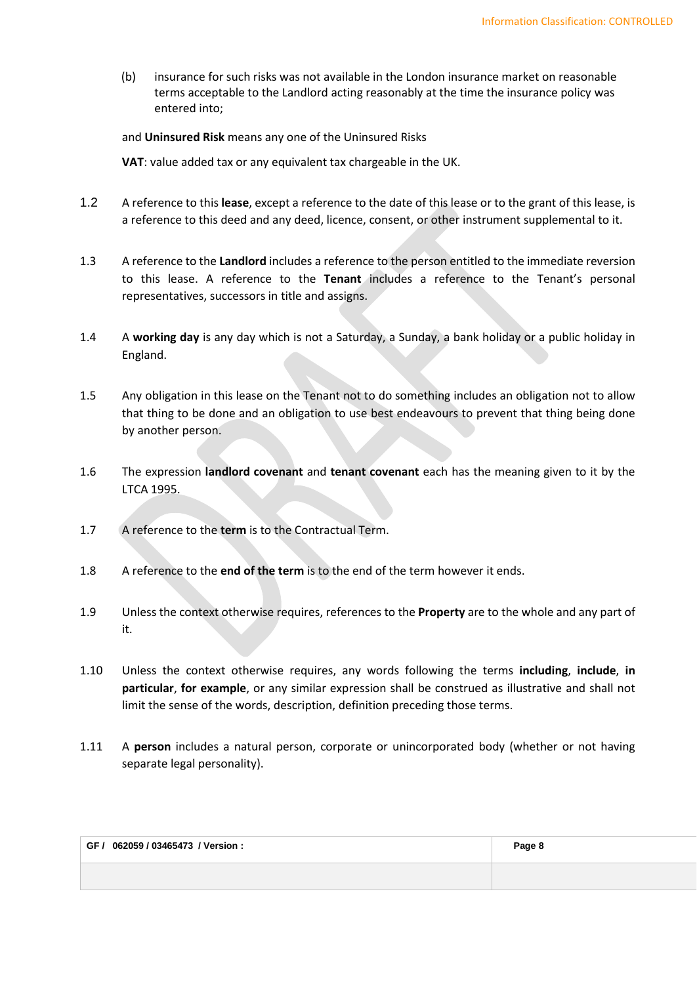(b) insurance for such risks was not available in the London insurance market on reasonable terms acceptable to the Landlord acting reasonably at the time the insurance policy was entered into;

# and **Uninsured Risk** means any one of the Uninsured Risks

**VAT**: value added tax or any equivalent tax chargeable in the UK.

- 1.2 A reference to this **lease**, except a reference to the date of this lease or to the grant of this lease, is a reference to this deed and any deed, licence, consent, or other instrument supplemental to it.
- 1.3 A reference to the **Landlord** includes a reference to the person entitled to the immediate reversion to this lease. A reference to the **Tenant** includes a reference to the Tenant's personal representatives, successors in title and assigns.
- 1.4 A **working day** is any day which is not a Saturday, a Sunday, a bank holiday or a public holiday in England.
- 1.5 Any obligation in this lease on the Tenant not to do something includes an obligation not to allow that thing to be done and an obligation to use best endeavours to prevent that thing being done by another person.
- 1.6 The expression **landlord covenant** and **tenant covenant** each has the meaning given to it by the LTCA 1995.
- 1.7 A reference to the **term** is to the Contractual Term.
- 1.8 A reference to the **end of the term** is to the end of the term however it ends.
- 1.9 Unless the context otherwise requires, references to the **Property** are to the whole and any part of it.
- 1.10 Unless the context otherwise requires, any words following the terms **including**, **include**, **in particular**, **for example**, or any similar expression shall be construed as illustrative and shall not limit the sense of the words, description, definition preceding those terms.
- 1.11 A **person** includes a natural person, corporate or unincorporated body (whether or not having separate legal personality).

| GF / 062059 / 03465473 / Version : | Page 8 |
|------------------------------------|--------|
|                                    |        |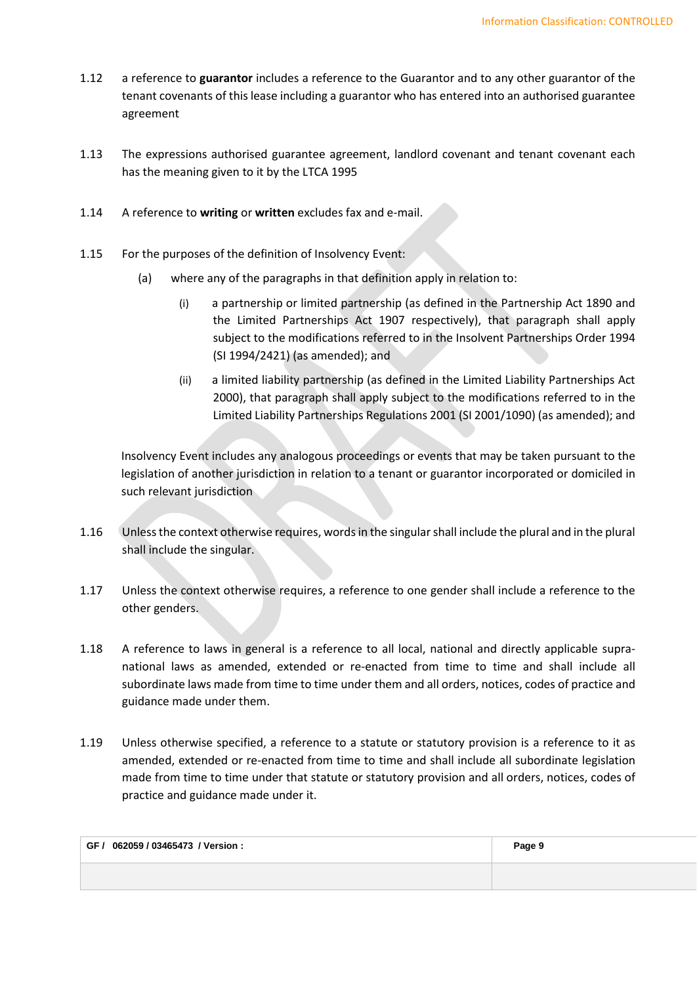- 1.12 a reference to **guarantor** includes a reference to the Guarantor and to any other guarantor of the tenant covenants of this lease including a guarantor who has entered into an authorised guarantee agreement
- 1.13 The expressions authorised guarantee agreement, landlord covenant and tenant covenant each has the meaning given to it by the LTCA 1995
- 1.14 A reference to **writing** or **written** excludes fax and e-mail.
- <span id="page-8-0"></span>1.15 For the purposes of the definition of Insolvency Event:
	- (a) where any of the paragraphs in that definition apply in relation to:
		- (i) a partnership or limited partnership (as defined in the Partnership Act 1890 and the Limited Partnerships Act 1907 respectively), that paragraph shall apply subject to the modifications referred to in the Insolvent Partnerships Order 1994 (SI 1994/2421) (as amended); and
		- (ii) a limited liability partnership (as defined in the Limited Liability Partnerships Act 2000), that paragraph shall apply subject to the modifications referred to in the Limited Liability Partnerships Regulations 2001 (SI 2001/1090) (as amended); and

Insolvency Event includes any analogous proceedings or events that may be taken pursuant to the legislation of another jurisdiction in relation to a tenant or guarantor incorporated or domiciled in such relevant jurisdiction

- 1.16 Unless the context otherwise requires, words in the singular shall include the plural and in the plural shall include the singular.
- 1.17 Unless the context otherwise requires, a reference to one gender shall include a reference to the other genders.
- 1.18 A reference to laws in general is a reference to all local, national and directly applicable supranational laws as amended, extended or re-enacted from time to time and shall include all subordinate laws made from time to time under them and all orders, notices, codes of practice and guidance made under them.
- 1.19 Unless otherwise specified, a reference to a statute or statutory provision is a reference to it as amended, extended or re-enacted from time to time and shall include all subordinate legislation made from time to time under that statute or statutory provision and all orders, notices, codes of practice and guidance made under it.

| GF / 062059 / 03465473 / Version : | Page 9 |
|------------------------------------|--------|
|                                    |        |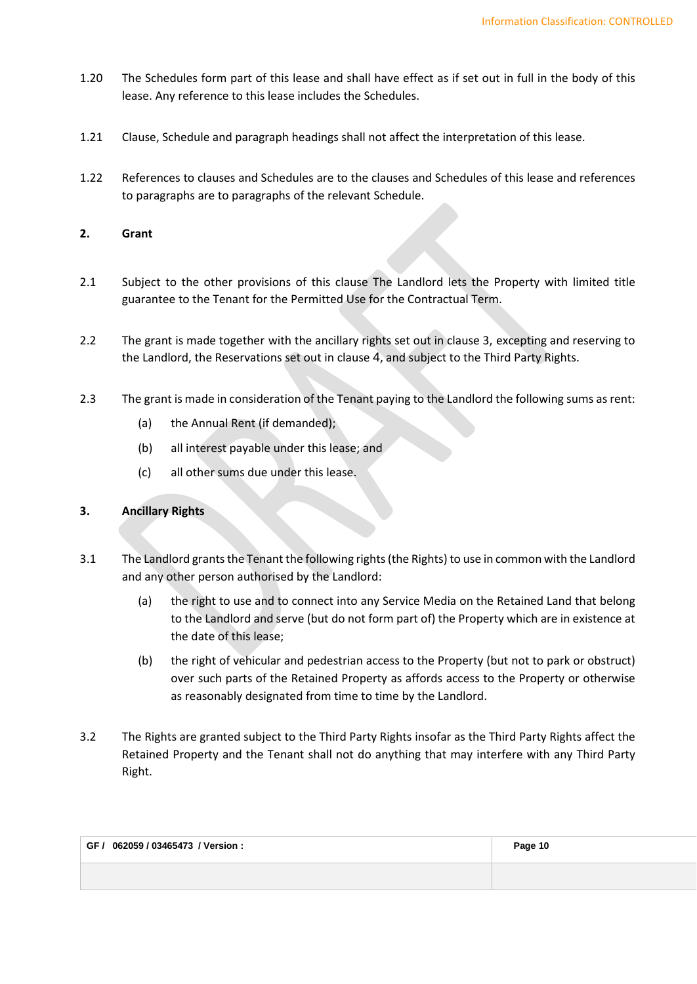- 1.20 The Schedules form part of this lease and shall have effect as if set out in full in the body of this lease. Any reference to this lease includes the Schedules.
- 1.21 Clause, Schedule and paragraph headings shall not affect the interpretation of this lease.
- 1.22 References to clauses and Schedules are to the clauses and Schedules of this lease and references to paragraphs are to paragraphs of the relevant Schedule.
- **2. Grant**
- 2.1 Subject to the other provisions of this clause The Landlord lets the Property with limited title guarantee to the Tenant for the Permitted Use for the Contractual Term.
- 2.2 The grant is made together with the ancillary rights set out in claus[e 3,](#page-9-0) excepting and reserving to the Landlord, the Reservations set out in [clause](#page-10-0) [4](#page-10-0), and subject to the Third Party Rights.
- 2.3 The grant is made in consideration of the Tenant paying to the Landlord the following sums as rent:
	- (a) the Annual Rent (if demanded);
	- (b) all interest payable under this lease; and
	- (c) all other sums due under this lease.

# <span id="page-9-0"></span>**3. Ancillary Rights**

- 3.1 The Landlord grants the Tenant the following rights (the Rights) to use in common with the Landlord and any other person authorised by the Landlord:
	- (a) the right to use and to connect into any Service Media on the Retained Land that belong to the Landlord and serve (but do not form part of) the Property which are in existence at the date of this lease;
	- (b) the right of vehicular and pedestrian access to the Property (but not to park or obstruct) over such parts of the Retained Property as affords access to the Property or otherwise as reasonably designated from time to time by the Landlord.
- 3.2 The Rights are granted subject to the Third Party Rights insofar as the Third Party Rights affect the Retained Property and the Tenant shall not do anything that may interfere with any Third Party Right.

| GF / 062059 / 03465473 / Version : | Page 10 |
|------------------------------------|---------|
|                                    |         |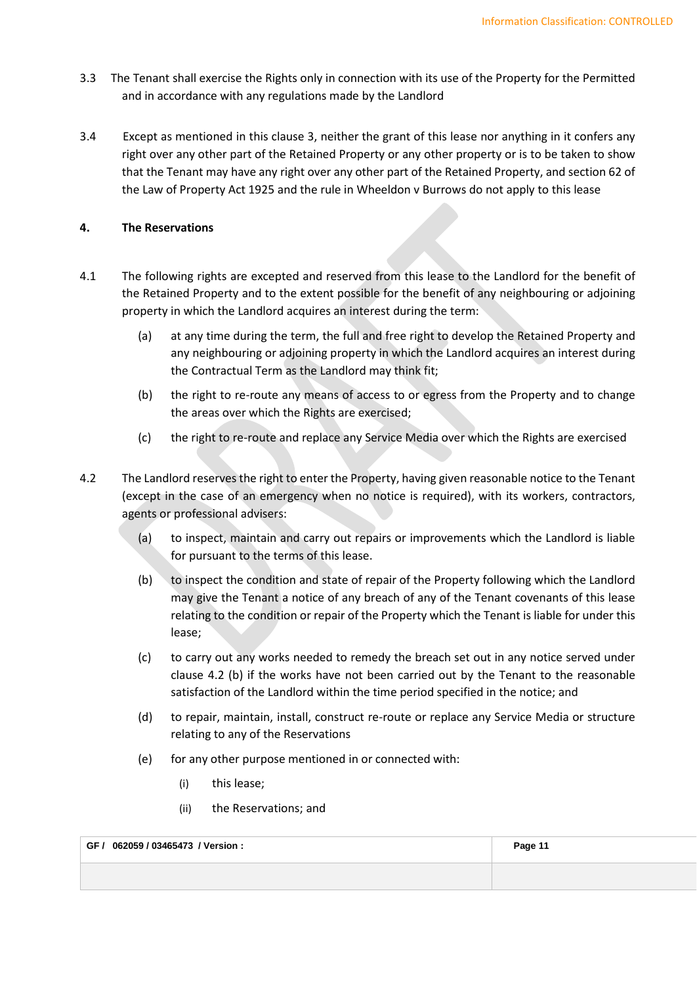- 3.3 The Tenant shall exercise the Rights only in connection with its use of the Property for the Permitted and in accordance with any regulations made by the Landlord
- 3.4 Except as mentioned in this clause [3,](#page-9-0) neither the grant of this lease nor anything in it confers any right over any other part of the Retained Property or any other property or is to be taken to show that the Tenant may have any right over any other part of the Retained Property, and section 62 of the Law of Property Act 1925 and the rule in Wheeldon v Burrows do not apply to this lease

# <span id="page-10-0"></span>**4. The Reservations**

- 4.1 The following rights are excepted and reserved from this lease to the Landlord for the benefit of the Retained Property and to the extent possible for the benefit of any neighbouring or adjoining property in which the Landlord acquires an interest during the term:
	- (a) at any time during the term, the full and free right to develop the Retained Property and any neighbouring or adjoining property in which the Landlord acquires an interest during the Contractual Term as the Landlord may think fit;
	- (b) the right to re-route any means of access to or egress from the Property and to change the areas over which the Rights are exercised;
	- (c) the right to re-route and replace any Service Media over which the Rights are exercised
- <span id="page-10-2"></span><span id="page-10-1"></span>4.2 The Landlord reserves the right to enter the Property, having given reasonable notice to the Tenant (except in the case of an emergency when no notice is required), with its workers, contractors, agents or professional advisers:
	- (a) to inspect, maintain and carry out repairs or improvements which the Landlord is liable for pursuant to the terms of this lease.
	- (b) to inspect the condition and state of repair of the Property following which the Landlord may give the Tenant a notice of any breach of any of the Tenant covenants of this lease relating to the condition or repair of the Property which the Tenant is liable for under this lease;
	- (c) to carry out any works needed to remedy the breach set out in any notice served under [clause 4](#page-10-1).2 (b) if the works have not been carried out by the Tenant to the reasonable satisfaction of the Landlord within the time period specified in the notice; and
	- (d) to repair, maintain, install, construct re-route or replace any Service Media or structure relating to any of the Reservations
	- (e) for any other purpose mentioned in or connected with:
		- (i) this lease;
		- (ii) the Reservations; and

**GF / 062059 / 03465473 / Version : Page 11**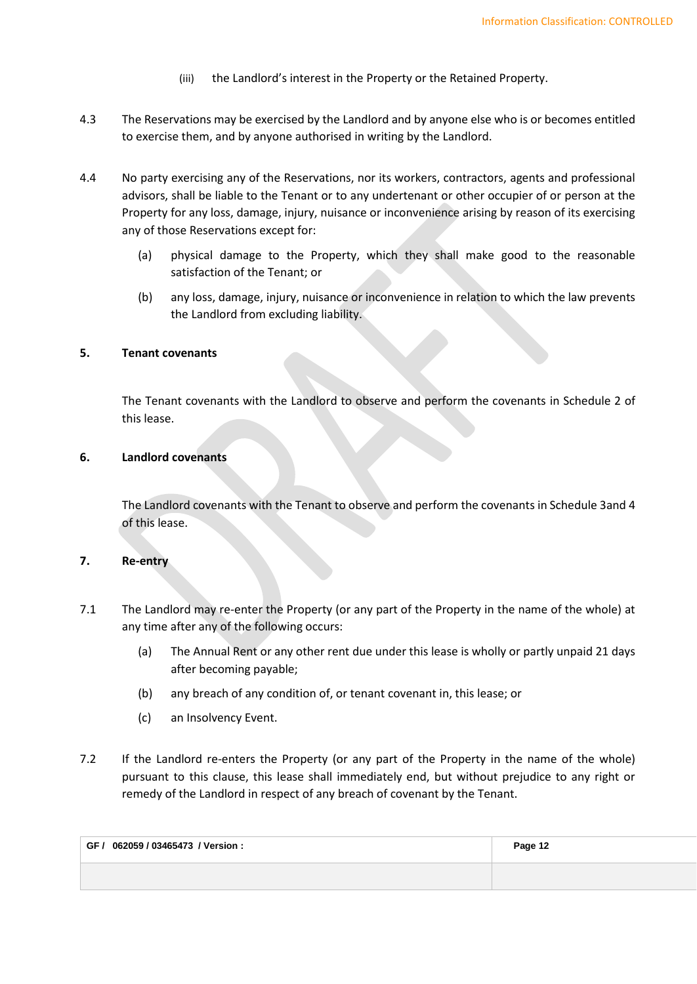- (iii) the Landlord's interest in the Property or the Retained Property.
- 4.3 The Reservations may be exercised by the Landlord and by anyone else who is or becomes entitled to exercise them, and by anyone authorised in writing by the Landlord.
- 4.4 No party exercising any of the Reservations, nor its workers, contractors, agents and professional advisors, shall be liable to the Tenant or to any undertenant or other occupier of or person at the Property for any loss, damage, injury, nuisance or inconvenience arising by reason of its exercising any of those Reservations except for:
	- (a) physical damage to the Property, which they shall make good to the reasonable satisfaction of the Tenant; or
	- (b) any loss, damage, injury, nuisance or inconvenience in relation to which the law prevents the Landlord from excluding liability.

# **5. Tenant covenants**

The Tenant covenants with the Landlord to observe and perform the covenants in [Schedule 2](#page-16-0) of this lease.

# **6. Landlord covenants**

The Landlord covenants with the Tenant to observe and perform the covenants in [Schedule 3a](#page-26-0)nd 4 of this lease.

#### **7. Re-entry**

- 7.1 The Landlord may re-enter the Property (or any part of the Property in the name of the whole) at any time after any of the following occurs:
	- (a) The Annual Rent or any other rent due under this lease is wholly or partly unpaid 21 days after becoming payable;
	- (b) any breach of any condition of, or tenant covenant in, this lease; or
	- (c) an Insolvency Event.
- 7.2 If the Landlord re-enters the Property (or any part of the Property in the name of the whole) pursuant to this clause, this lease shall immediately end, but without prejudice to any right or remedy of the Landlord in respect of any breach of covenant by the Tenant.

| GF / 062059 / 03465473 / Version : | Page 12 |
|------------------------------------|---------|
|                                    |         |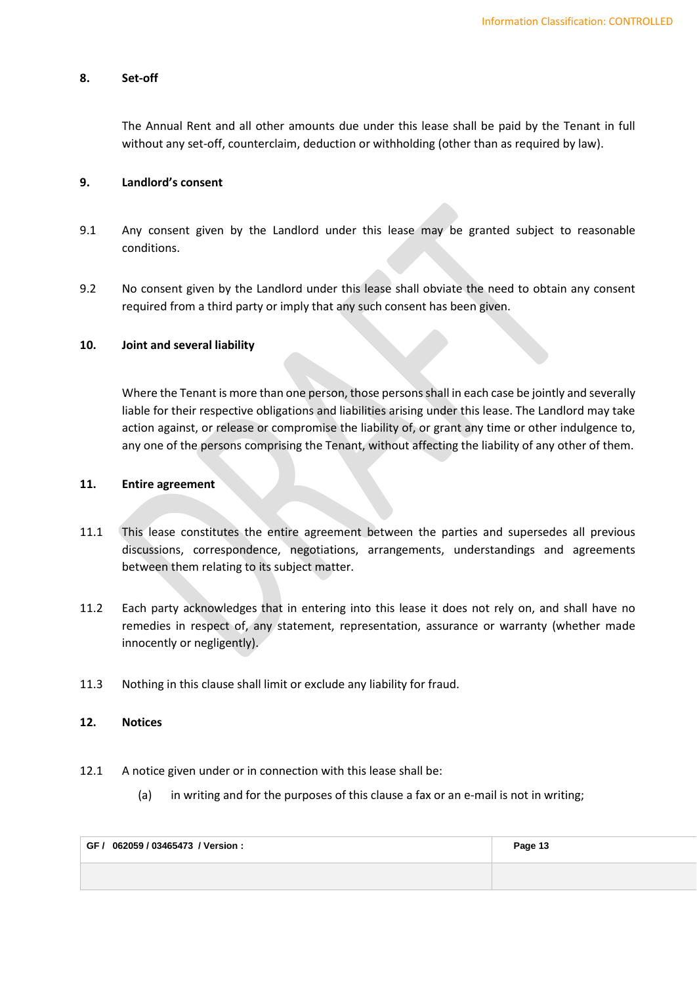# **8. Set-off**

The Annual Rent and all other amounts due under this lease shall be paid by the Tenant in full without any set-off, counterclaim, deduction or withholding (other than as required by law).

### **9. Landlord's consent**

- 9.1 Any consent given by the Landlord under this lease may be granted subject to reasonable conditions.
- 9.2 No consent given by the Landlord under this lease shall obviate the need to obtain any consent required from a third party or imply that any such consent has been given.

### **10. Joint and several liability**

Where the Tenant is more than one person, those persons shall in each case be jointly and severally liable for their respective obligations and liabilities arising under this lease. The Landlord may take action against, or release or compromise the liability of, or grant any time or other indulgence to, any one of the persons comprising the Tenant, without affecting the liability of any other of them.

# **11. Entire agreement**

- 11.1 This lease constitutes the entire agreement between the parties and supersedes all previous discussions, correspondence, negotiations, arrangements, understandings and agreements between them relating to its subject matter.
- 11.2 Each party acknowledges that in entering into this lease it does not rely on, and shall have no remedies in respect of, any statement, representation, assurance or warranty (whether made innocently or negligently).
- 11.3 Nothing in this clause shall limit or exclude any liability for fraud.

# **12. Notices**

- 12.1 A notice given under or in connection with this lease shall be:
	- (a) in writing and for the purposes of this clause a fax or an e-mail is not in writing;

| GF / 062059 / 03465473 / Version : | Page 13 |
|------------------------------------|---------|
|                                    |         |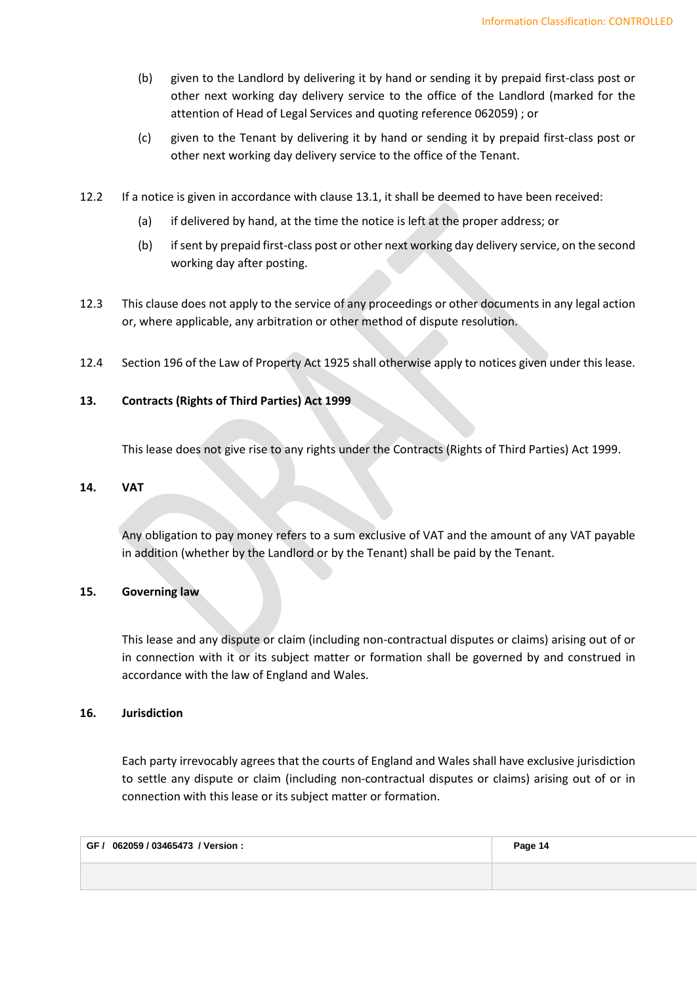- (b) given to the Landlord by delivering it by hand or sending it by prepaid first-class post or other next working day delivery service to the office of the Landlord (marked for the attention of Head of Legal Services and quoting reference 062059) ; or
- (c) given to the Tenant by delivering it by hand or sending it by prepaid first-class post or other next working day delivery service to the office of the Tenant.
- 12.2 If a notice is given in accordance with clause 13.1, it shall be deemed to have been received:
	- (a) if delivered by hand, at the time the notice is left at the proper address; or
	- (b) if sent by prepaid first-class post or other next working day delivery service, on the second working day after posting.
- 12.3 This clause does not apply to the service of any proceedings or other documents in any legal action or, where applicable, any arbitration or other method of dispute resolution.
- 12.4 Section 196 of the Law of Property Act 1925 shall otherwise apply to notices given under this lease.

# **13. Contracts (Rights of Third Parties) Act 1999**

This lease does not give rise to any rights under the Contracts (Rights of Third Parties) Act 1999.

# **14. VAT**

Any obligation to pay money refers to a sum exclusive of VAT and the amount of any VAT payable in addition (whether by the Landlord or by the Tenant) shall be paid by the Tenant.

# **15. Governing law**

This lease and any dispute or claim (including non-contractual disputes or claims) arising out of or in connection with it or its subject matter or formation shall be governed by and construed in accordance with the law of England and Wales.

# **16. Jurisdiction**

Each party irrevocably agrees that the courts of England and Wales shall have exclusive jurisdiction to settle any dispute or claim (including non-contractual disputes or claims) arising out of or in connection with this lease or its subject matter or formation.

| GF / 062059 / 03465473 / Version : | Page 14 |
|------------------------------------|---------|
|                                    |         |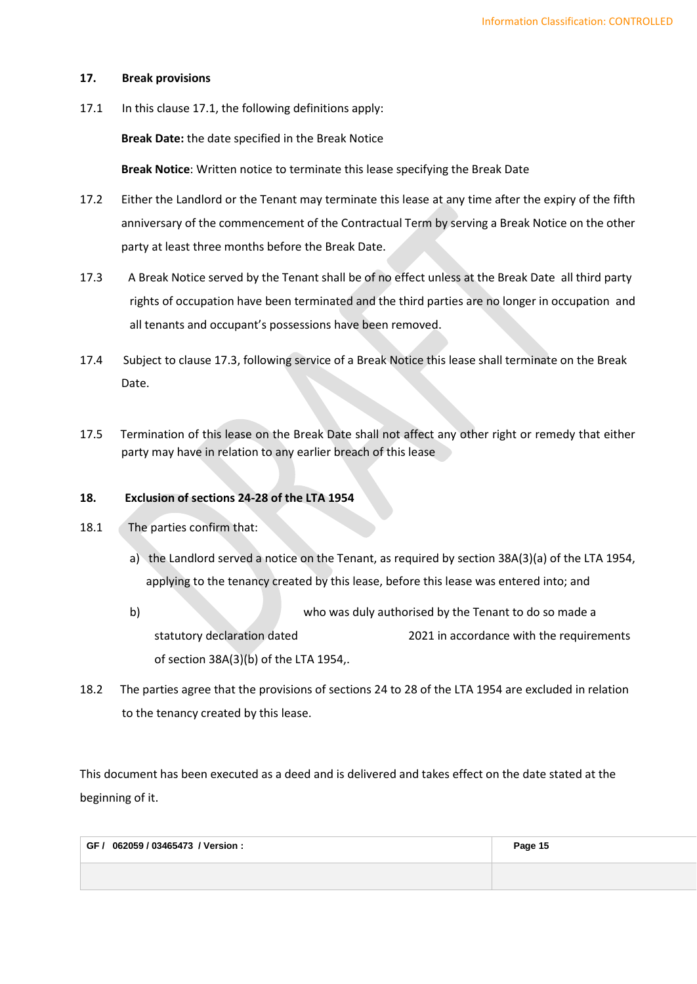# **17. Break provisions**

17.1 In this clause 17.1, the following definitions apply:

**Break Date:** the date specified in the Break Notice

**Break Notice**: Written notice to terminate this lease specifying the Break Date

- 17.2 Either the Landlord or the Tenant may terminate this lease at any time after the expiry of the fifth anniversary of the commencement of the Contractual Term by serving a Break Notice on the other party at least three months before the Break Date.
- 17.3 A Break Notice served by the Tenant shall be of no effect unless at the Break Date all third party rights of occupation have been terminated and the third parties are no longer in occupation and all tenants and occupant's possessions have been removed.
- 17.4 Subject to clause 17.3, following service of a Break Notice this lease shall terminate on the Break Date.
- 17.5 Termination of this lease on the Break Date shall not affect any other right or remedy that either party may have in relation to any earlier breach of this lease

# **18. Exclusion of sections 24-28 of the LTA 1954**

- 18.1The parties confirm that:
	- a) the Landlord served a notice on the Tenant, as required by section 38A(3)(a) of the LTA 1954, applying to the tenancy created by this lease, before this lease was entered into; and
	- b) who was duly authorised by the Tenant to do so made a statutory declaration dated 2021 in accordance with the requirements of section 38A(3)(b) of the LTA 1954,.
- 18.2 The parties agree that the provisions of sections 24 to 28 of the LTA 1954 are excluded in relation to the tenancy created by this lease.

This document has been executed as a deed and is delivered and takes effect on the date stated at the beginning of it.

| GF / 062059 / 03465473 / Version : | Page 15 |
|------------------------------------|---------|
|                                    |         |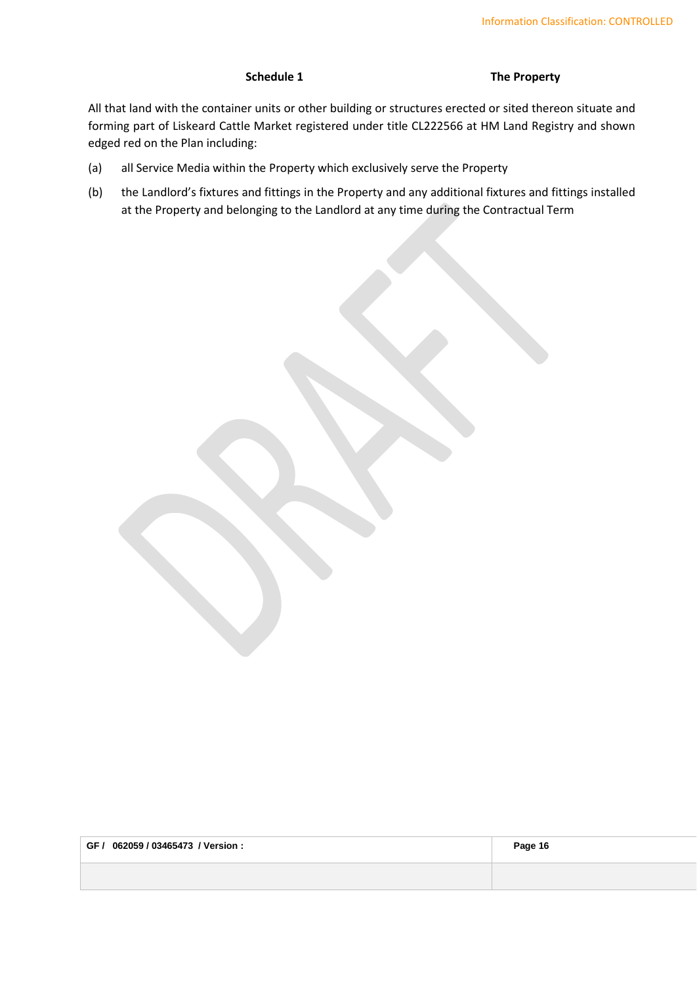**Schedule 1 The Property**

<span id="page-15-0"></span>All that land with the container units or other building or structures erected or sited thereon situate and forming part of Liskeard Cattle Market registered under title CL222566 at HM Land Registry and shown edged red on the Plan including:

- (a) all Service Media within the Property which exclusively serve the Property
- (b) the Landlord's fixtures and fittings in the Property and any additional fixtures and fittings installed at the Property and belonging to the Landlord at any time during the Contractual Term

| GF / 062059 / 03465473 / Version : | Page 16 |
|------------------------------------|---------|
|                                    |         |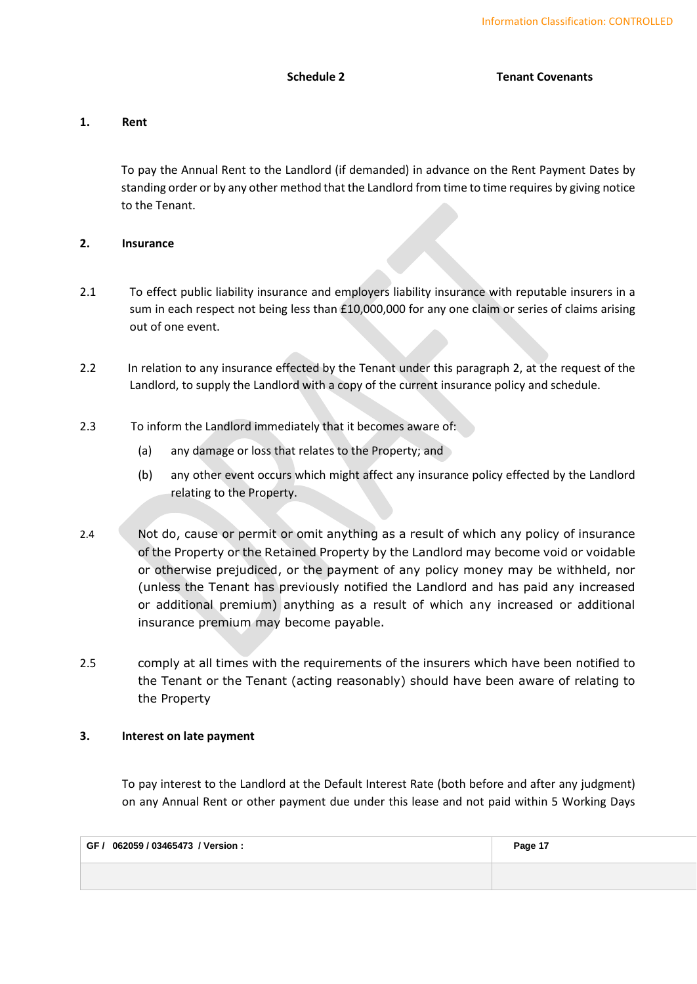# **1. Rent**

<span id="page-16-0"></span>To pay the Annual Rent to the Landlord (if demanded) in advance on the Rent Payment Dates by standing order or by any other method that the Landlord from time to time requires by giving notice to the Tenant.

# **2. Insurance**

- 2.1 To effect public liability insurance and employers liability insurance with reputable insurers in a sum in each respect not being less than £10,000,000 for any one claim or series of claims arising out of one event.
- 2.2 In relation to any insurance effected by the Tenant under this paragraph 2, at the request of the Landlord, to supply the Landlord with a copy of the current insurance policy and schedule.
- 2.3 To inform the Landlord immediately that it becomes aware of:
	- (a) any damage or loss that relates to the Property; and
	- (b) any other event occurs which might affect any insurance policy effected by the Landlord relating to the Property.
- 2.4 Not do, cause or permit or omit anything as a result of which any policy of insurance of the Property or the Retained Property by the Landlord may become void or voidable or otherwise prejudiced, or the payment of any policy money may be withheld, nor (unless the Tenant has previously notified the Landlord and has paid any increased or additional premium) anything as a result of which any increased or additional insurance premium may become payable.
- 2.5 comply at all times with the requirements of the insurers which have been notified to the Tenant or the Tenant (acting reasonably) should have been aware of relating to the Property

# **3. Interest on late payment**

To pay interest to the Landlord at the Default Interest Rate (both before and after any judgment) on any Annual Rent or other payment due under this lease and not paid within 5 Working Days

| GF / 062059 / 03465473 / Version : | Page 17 |
|------------------------------------|---------|
|                                    |         |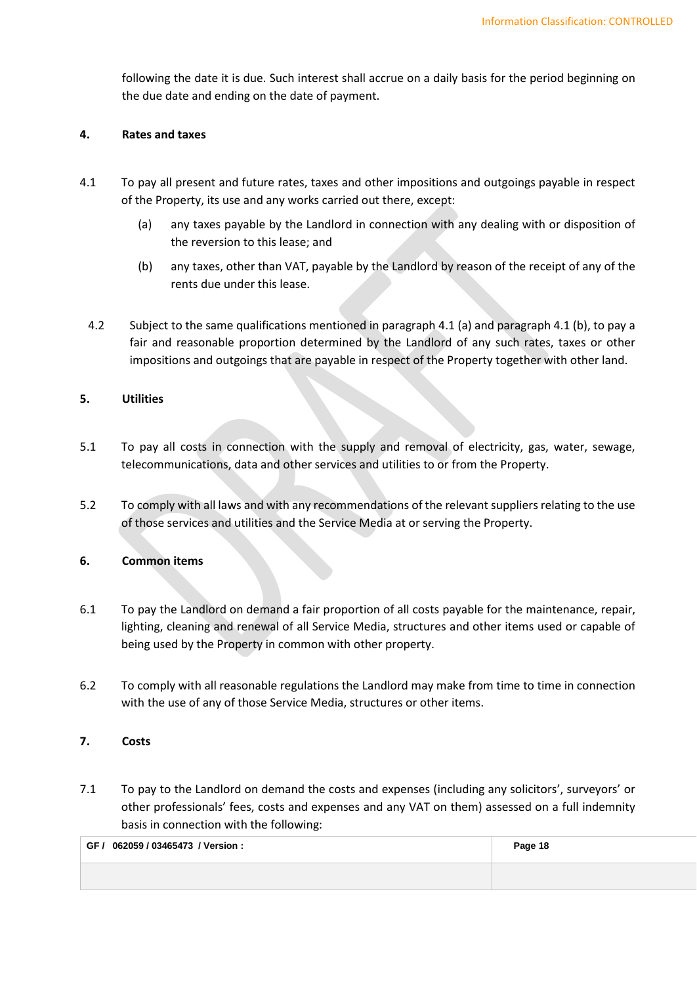following the date it is due. Such interest shall accrue on a daily basis for the period beginning on the due date and ending on the date of payment.

#### **4. Rates and taxes**

- <span id="page-17-0"></span>4.1 To pay all present and future rates, taxes and other impositions and outgoings payable in respect of the Property, its use and any works carried out there, except:
	- (a) any taxes payable by the Landlord in connection with any dealing with or disposition of the reversion to this lease; and
	- (b) any taxes, other than VAT, payable by the Landlord by reason of the receipt of any of the rents due under this lease.
- <span id="page-17-1"></span>4.2 Subject to the same qualifications mentioned i[n paragraph](#page-17-0) 4.1 (a) and [paragraph 4](#page-17-1).1 (b), to pay a fair and reasonable proportion determined by the Landlord of any such rates, taxes or other impositions and outgoings that are payable in respect of the Property together with other land.

# **5. Utilities**

- 5.1 To pay all costs in connection with the supply and removal of electricity, gas, water, sewage, telecommunications, data and other services and utilities to or from the Property.
- 5.2 To comply with all laws and with any recommendations of the relevant suppliers relating to the use of those services and utilities and the Service Media at or serving the Property.

# **6. Common items**

- 6.1 To pay the Landlord on demand a fair proportion of all costs payable for the maintenance, repair, lighting, cleaning and renewal of all Service Media, structures and other items used or capable of being used by the Property in common with other property.
- 6.2 To comply with all reasonable regulations the Landlord may make from time to time in connection with the use of any of those Service Media, structures or other items.

# **7. Costs**

7.1 To pay to the Landlord on demand the costs and expenses (including any solicitors', surveyors' or other professionals' fees, costs and expenses and any VAT on them) assessed on a full indemnity basis in connection with the following:

| GF / 062059 / 03465473 / Version : | Page 18 |
|------------------------------------|---------|
|                                    |         |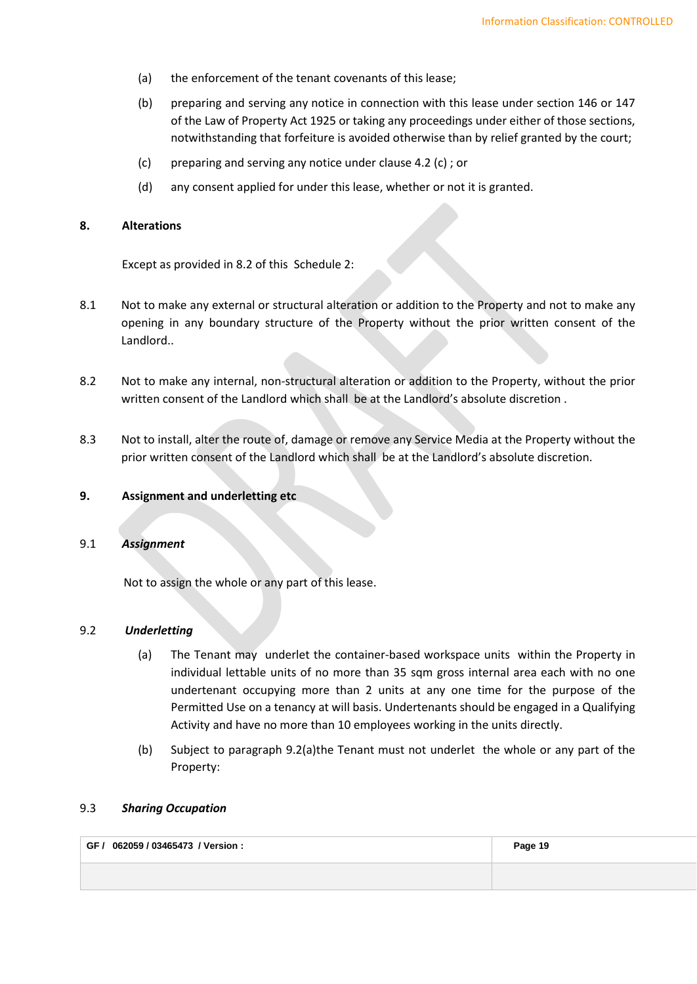- (a) the enforcement of the tenant covenants of this lease;
- (b) preparing and serving any notice in connection with this lease under section 146 or 147 of the Law of Property Act 1925 or taking any proceedings under either of those sections, notwithstanding that forfeiture is avoided otherwise than by relief granted by the court;
- (c) preparing and serving any notice under clause 4.2 (c) ; or
- (d) any consent applied for under this lease, whether or not it is granted.

# **8. Alterations**

Except as provided in 8.2 of this [Schedule 2:](#page-16-0)

- 8.1 Not to make any external or structural alteration or addition to the Property and not to make any opening in any boundary structure of the Property without the prior written consent of the Landlord..
- 8.2 Not to make any internal, non-structural alteration or addition to the Property, without the prior written consent of the Landlord which shall be at the Landlord's absolute discretion .
- 8.3 Not to install, alter the route of, damage or remove any Service Media at the Property without the prior written consent of the Landlord which shall be at the Landlord's absolute discretion.

#### **9. Assignment and underletting etc**

### 9.1 *Assignment*

<span id="page-18-0"></span>Not to assign the whole or any part of this lease.

# <span id="page-18-1"></span>9.2 *Underletting*

- (a) The Tenant may underlet the container-based workspace units within the Property in individual lettable units of no more than 35 sqm gross internal area each with no one undertenant occupying more than 2 units at any one time for the purpose of the Permitted Use on a tenancy at will basis. Undertenants should be engaged in a Qualifying Activity and have no more than 10 employees working in the units directly.
- (b) Subject to paragraph [9.2](#page-18-0)[\(a\)t](#page-18-1)he Tenant must not underlet the whole or any part of the Property:

# 9.3 *Sharing Occupation*

| GF / 062059 / 03465473 / Version : | Page 19 |
|------------------------------------|---------|
|                                    |         |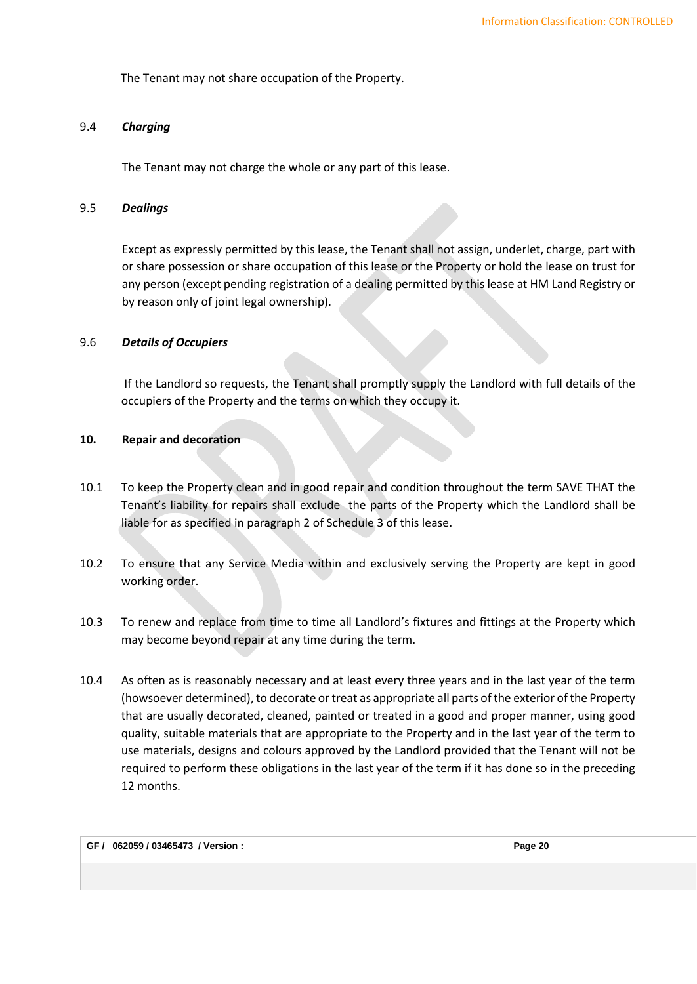The Tenant may not share occupation of the Property.

# 9.4 *Charging*

The Tenant may not charge the whole or any part of this lease.

#### 9.5 *Dealings*

Except as expressly permitted by this lease, the Tenant shall not assign, underlet, charge, part with or share possession or share occupation of this lease or the Property or hold the lease on trust for any person (except pending registration of a dealing permitted by this lease at HM Land Registry or by reason only of joint legal ownership).

### 9.6 *Details of Occupiers*

If the Landlord so requests, the Tenant shall promptly supply the Landlord with full details of the occupiers of the Property and the terms on which they occupy it.

# **10. Repair and decoration**

- 10.1 To keep the Property clean and in good repair and condition throughout the term SAVE THAT the Tenant's liability for repairs shall exclude the parts of the Property which the Landlord shall be liable for as specified in paragraph 2 of Schedule 3 of this lease.
- 10.2 To ensure that any Service Media within and exclusively serving the Property are kept in good working order.
- 10.3 To renew and replace from time to time all Landlord's fixtures and fittings at the Property which may become beyond repair at any time during the term.
- 10.4 As often as is reasonably necessary and at least every three years and in the last year of the term (howsoever determined), to decorate or treat as appropriate all parts of the exterior of the Property that are usually decorated, cleaned, painted or treated in a good and proper manner, using good quality, suitable materials that are appropriate to the Property and in the last year of the term to use materials, designs and colours approved by the Landlord provided that the Tenant will not be required to perform these obligations in the last year of the term if it has done so in the preceding 12 months.

| GF / 062059 / 03465473 / Version : | Page 20 |
|------------------------------------|---------|
|                                    |         |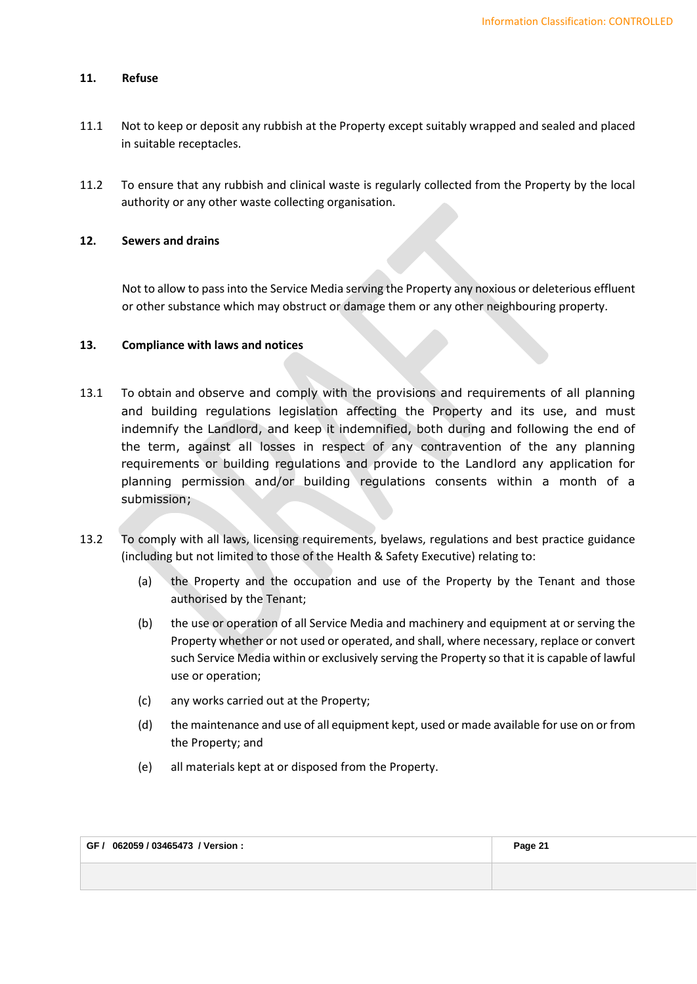#### **11. Refuse**

- 11.1 Not to keep or deposit any rubbish at the Property except suitably wrapped and sealed and placed in suitable receptacles.
- 11.2 To ensure that any rubbish and clinical waste is regularly collected from the Property by the local authority or any other waste collecting organisation.

# **12. Sewers and drains**

Not to allow to pass into the Service Media serving the Property any noxious or deleterious effluent or other substance which may obstruct or damage them or any other neighbouring property.

### **13. Compliance with laws and notices**

- 13.1 To obtain and observe and comply with the provisions and requirements of all planning and building regulations legislation affecting the Property and its use, and must indemnify the Landlord, and keep it indemnified, both during and following the end of the term, against all losses in respect of any contravention of the any planning requirements or building regulations and provide to the Landlord any application for planning permission and/or building regulations consents within a month of a submission;
- 13.2 To comply with all laws, licensing requirements, byelaws, regulations and best practice guidance (including but not limited to those of the Health & Safety Executive) relating to:
	- (a) the Property and the occupation and use of the Property by the Tenant and those authorised by the Tenant;
	- (b) the use or operation of all Service Media and machinery and equipment at or serving the Property whether or not used or operated, and shall, where necessary, replace or convert such Service Media within or exclusively serving the Property so that it is capable of lawful use or operation;
	- (c) any works carried out at the Property;
	- (d) the maintenance and use of all equipment kept, used or made available for use on or from the Property; and
	- (e) all materials kept at or disposed from the Property.

| GF / 062059 / 03465473 / Version : | Page 21 |
|------------------------------------|---------|
|                                    |         |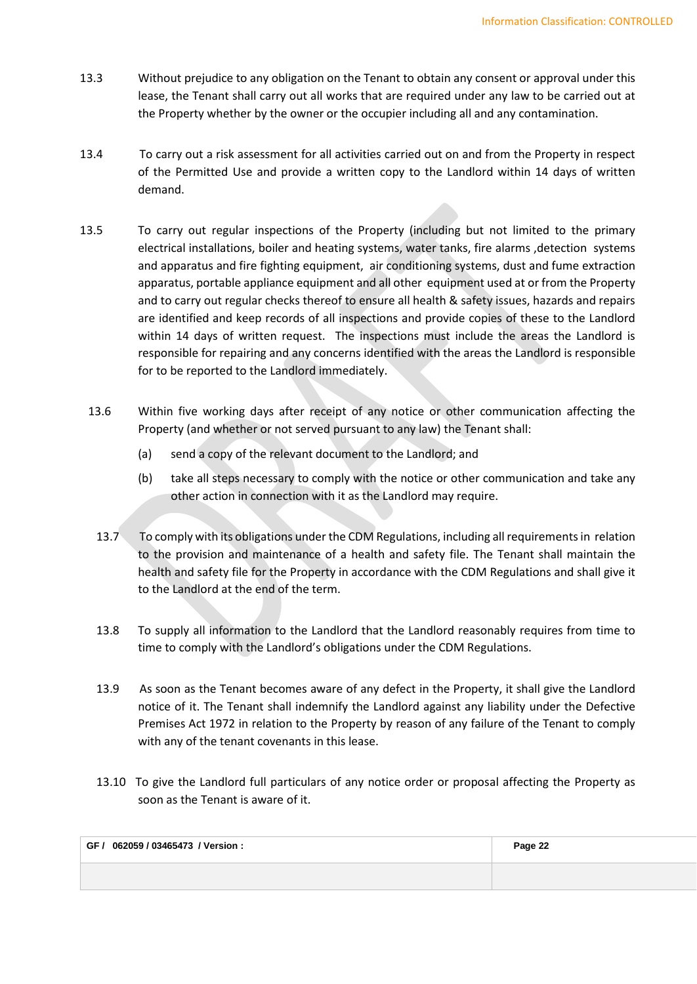- 13.3 Without prejudice to any obligation on the Tenant to obtain any consent or approval under this lease, the Tenant shall carry out all works that are required under any law to be carried out at the Property whether by the owner or the occupier including all and any contamination.
- 13.4 To carry out a risk assessment for all activities carried out on and from the Property in respect of the Permitted Use and provide a written copy to the Landlord within 14 days of written demand.
- 13.5 To carry out regular inspections of the Property (including but not limited to the primary electrical installations, boiler and heating systems, water tanks, fire alarms ,detection systems and apparatus and fire fighting equipment, air conditioning systems, dust and fume extraction apparatus, portable appliance equipment and all other equipment used at or from the Property and to carry out regular checks thereof to ensure all health & safety issues, hazards and repairs are identified and keep records of all inspections and provide copies of these to the Landlord within 14 days of written request. The inspections must include the areas the Landlord is responsible for repairing and any concerns identified with the areas the Landlord is responsible for to be reported to the Landlord immediately.
	- 13.6 Within five working days after receipt of any notice or other communication affecting the Property (and whether or not served pursuant to any law) the Tenant shall:
		- (a) send a copy of the relevant document to the Landlord; and
		- (b) take all steps necessary to comply with the notice or other communication and take any other action in connection with it as the Landlord may require.
		- 13.7 To comply with its obligations under the CDM Regulations, including all requirements in relation to the provision and maintenance of a health and safety file. The Tenant shall maintain the health and safety file for the Property in accordance with the CDM Regulations and shall give it to the Landlord at the end of the term.
		- 13.8 To supply all information to the Landlord that the Landlord reasonably requires from time to time to comply with the Landlord's obligations under the CDM Regulations.
		- 13.9 As soon as the Tenant becomes aware of any defect in the Property, it shall give the Landlord notice of it. The Tenant shall indemnify the Landlord against any liability under the Defective Premises Act 1972 in relation to the Property by reason of any failure of the Tenant to comply with any of the tenant covenants in this lease.
		- 13.10 To give the Landlord full particulars of any notice order or proposal affecting the Property as soon as the Tenant is aware of it.

| GF / 062059 / 03465473 / Version : | Page 22 |
|------------------------------------|---------|
|                                    |         |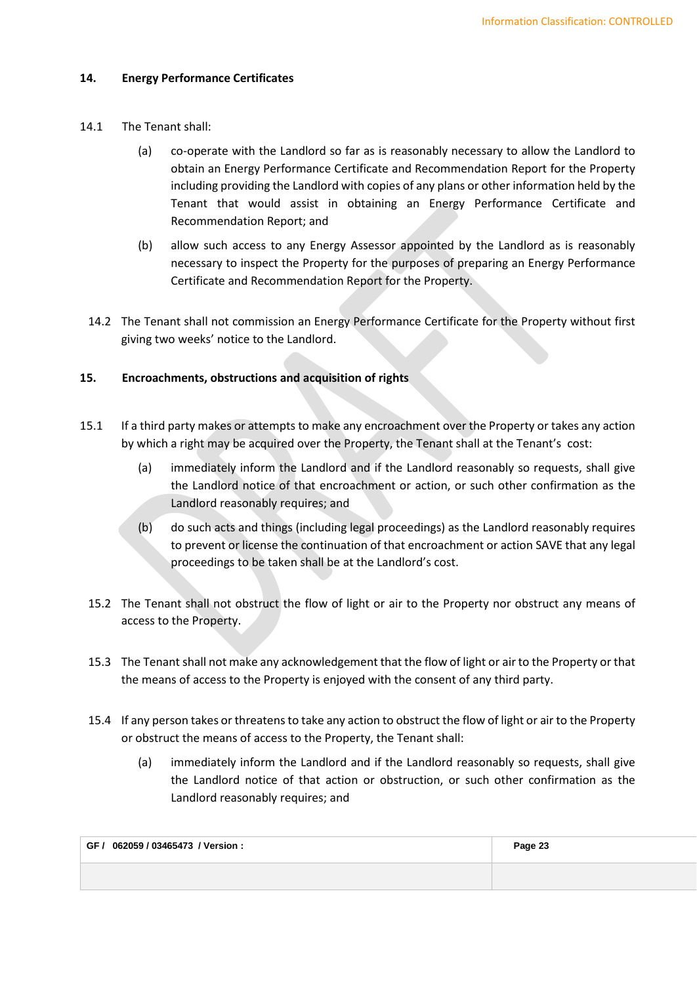# **14. Energy Performance Certificates**

- 14.1 The Tenant shall:
	- (a) co-operate with the Landlord so far as is reasonably necessary to allow the Landlord to obtain an Energy Performance Certificate and Recommendation Report for the Property including providing the Landlord with copies of any plans or other information held by the Tenant that would assist in obtaining an Energy Performance Certificate and Recommendation Report; and
	- (b) allow such access to any Energy Assessor appointed by the Landlord as is reasonably necessary to inspect the Property for the purposes of preparing an Energy Performance Certificate and Recommendation Report for the Property.
- 14.2 The Tenant shall not commission an Energy Performance Certificate for the Property without first giving two weeks' notice to the Landlord.

# **15. Encroachments, obstructions and acquisition of rights**

- 15.1 If a third party makes or attempts to make any encroachment over the Property or takes any action by which a right may be acquired over the Property, the Tenant shall at the Tenant's cost:
	- (a) immediately inform the Landlord and if the Landlord reasonably so requests, shall give the Landlord notice of that encroachment or action, or such other confirmation as the Landlord reasonably requires; and
	- (b) do such acts and things (including legal proceedings) as the Landlord reasonably requires to prevent or license the continuation of that encroachment or action SAVE that any legal proceedings to be taken shall be at the Landlord's cost.
	- 15.2 The Tenant shall not obstruct the flow of light or air to the Property nor obstruct any means of access to the Property.
	- 15.3 The Tenant shall not make any acknowledgement that the flow of light or air to the Property or that the means of access to the Property is enjoyed with the consent of any third party.
	- 15.4 If any person takes or threatens to take any action to obstruct the flow of light or air to the Property or obstruct the means of access to the Property, the Tenant shall:
		- (a) immediately inform the Landlord and if the Landlord reasonably so requests, shall give the Landlord notice of that action or obstruction, or such other confirmation as the Landlord reasonably requires; and

| GF / 062059 / 03465473 / Version : | Page 23 |
|------------------------------------|---------|
|                                    |         |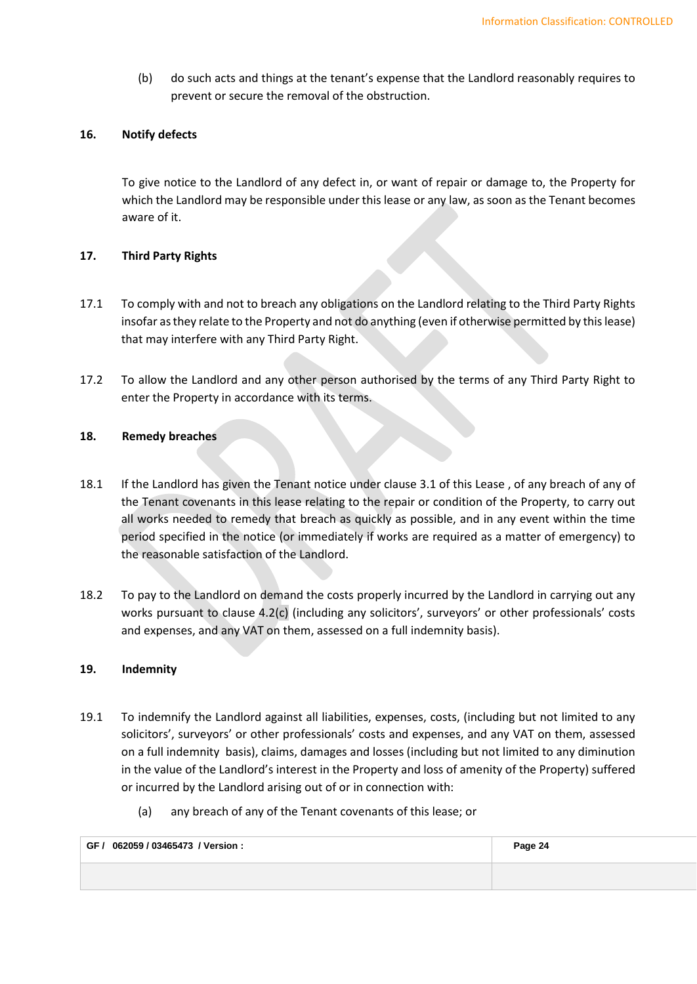(b) do such acts and things at the tenant's expense that the Landlord reasonably requires to prevent or secure the removal of the obstruction.

### **16. Notify defects**

To give notice to the Landlord of any defect in, or want of repair or damage to, the Property for which the Landlord may be responsible under this lease or any law, as soon as the Tenant becomes aware of it.

### **17. Third Party Rights**

- 17.1 To comply with and not to breach any obligations on the Landlord relating to the Third Party Rights insofar as they relate to the Property and not do anything (even if otherwise permitted by this lease) that may interfere with any Third Party Right.
- 17.2 To allow the Landlord and any other person authorised by the terms of any Third Party Right to enter the Property in accordance with its terms.

## **18. Remedy breaches**

- 18.1 If the Landlord has given the Tenant notice under clause 3.1 of this Lease , of any breach of any of the Tenant covenants in this lease relating to the repair or condition of the Property, to carry out all works needed to remedy that breach as quickly as possible, and in any event within the time period specified in the notice (or immediately if works are required as a matter of emergency) to the reasonable satisfaction of the Landlord.
- 18.2 To pay to the Landlord on demand the costs properly incurred by the Landlord in carrying out any works pursuant to [clause 4.2\(c\)](#page-10-2) (including any solicitors', surveyors' or other professionals' costs and expenses, and any VAT on them, assessed on a full indemnity basis).

#### **19. Indemnity**

- 19.1 To indemnify the Landlord against all liabilities, expenses, costs, (including but not limited to any solicitors', surveyors' or other professionals' costs and expenses, and any VAT on them, assessed on a full indemnity basis), claims, damages and losses (including but not limited to any diminution in the value of the Landlord's interest in the Property and loss of amenity of the Property) suffered or incurred by the Landlord arising out of or in connection with:
	- (a) any breach of any of the Tenant covenants of this lease; or

| GF / 062059 / 03465473 / Version : | Page 24 |
|------------------------------------|---------|
|                                    |         |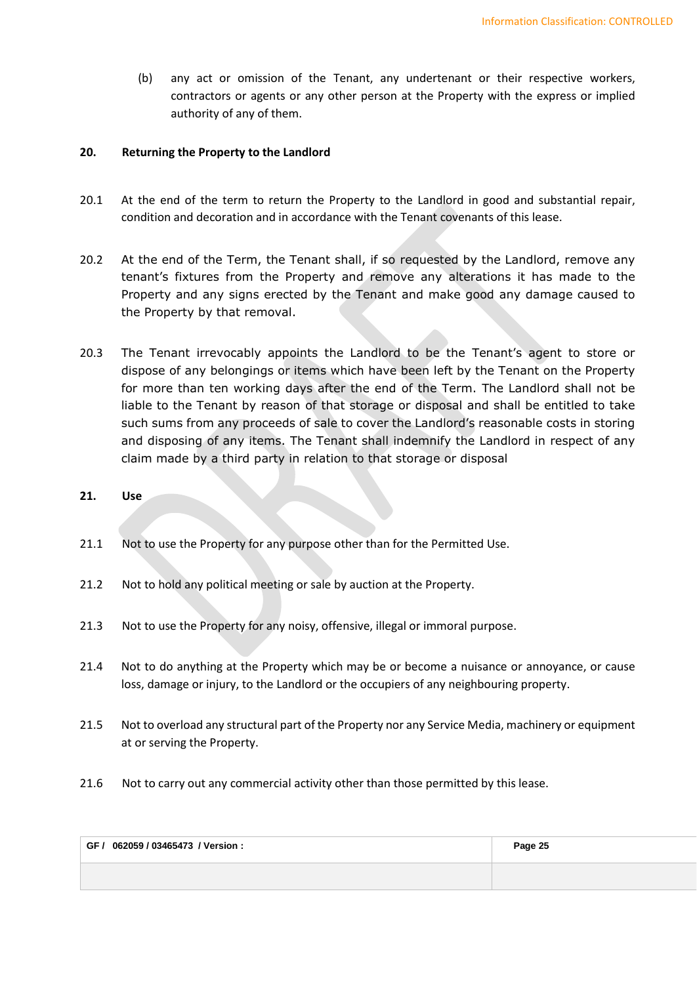(b) any act or omission of the Tenant, any undertenant or their respective workers, contractors or agents or any other person at the Property with the express or implied authority of any of them.

## **20. Returning the Property to the Landlord**

- 20.1 At the end of the term to return the Property to the Landlord in good and substantial repair, condition and decoration and in accordance with the Tenant covenants of this lease.
- 20.2 At the end of the Term, the Tenant shall, if so requested by the Landlord, remove any tenant's fixtures from the Property and remove any alterations it has made to the Property and any signs erected by the Tenant and make good any damage caused to the Property by that removal.
- 20.3 The Tenant irrevocably appoints the Landlord to be the Tenant's agent to store or dispose of any belongings or items which have been left by the Tenant on the Property for more than ten working days after the end of the Term. The Landlord shall not be liable to the Tenant by reason of that storage or disposal and shall be entitled to take such sums from any proceeds of sale to cover the Landlord's reasonable costs in storing and disposing of any items. The Tenant shall indemnify the Landlord in respect of any claim made by a third party in relation to that storage or disposal
- **21. Use**
- 21.1 Not to use the Property for any purpose other than for the Permitted Use.
- 21.2 Not to hold any political meeting or sale by auction at the Property.
- 21.3 Not to use the Property for any noisy, offensive, illegal or immoral purpose.
- 21.4 Not to do anything at the Property which may be or become a nuisance or annoyance, or cause loss, damage or injury, to the Landlord or the occupiers of any neighbouring property.
- 21.5 Not to overload any structural part of the Property nor any Service Media, machinery or equipment at or serving the Property.
- 21.6 Not to carry out any commercial activity other than those permitted by this lease.

| GF / 062059 / 03465473 / Version : | Page 25 |
|------------------------------------|---------|
|                                    |         |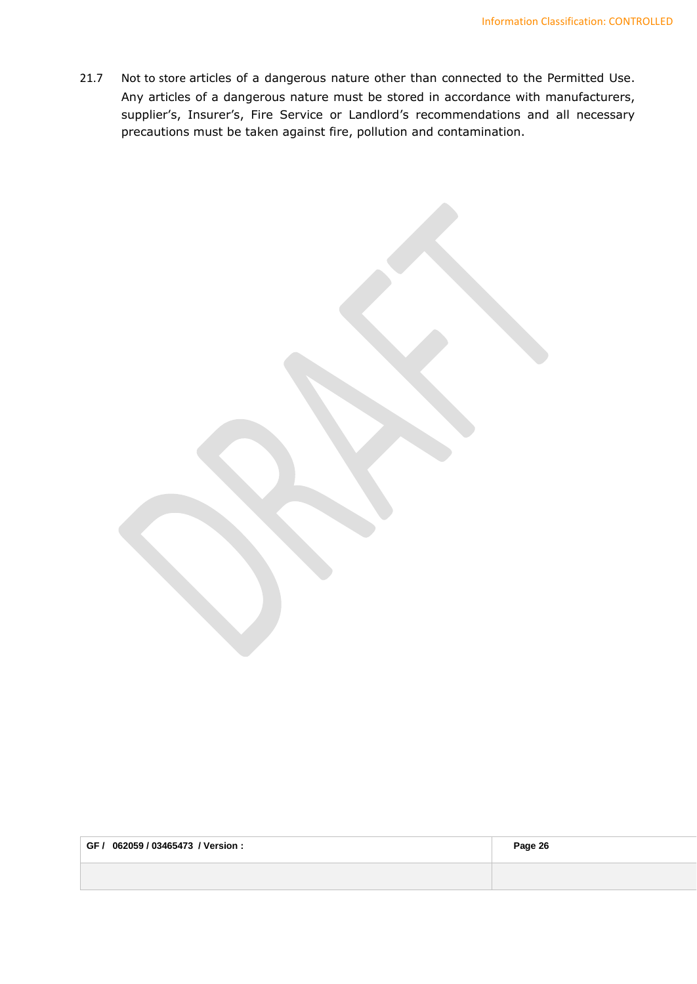21.7 Not to store articles of a dangerous nature other than connected to the Permitted Use. Any articles of a dangerous nature must be stored in accordance with manufacturers, supplier's, Insurer's, Fire Service or Landlord's recommendations and all necessary precautions must be taken against fire, pollution and contamination.

| GF / 062059 / 03465473 / Version : | Page 26 |
|------------------------------------|---------|
|                                    |         |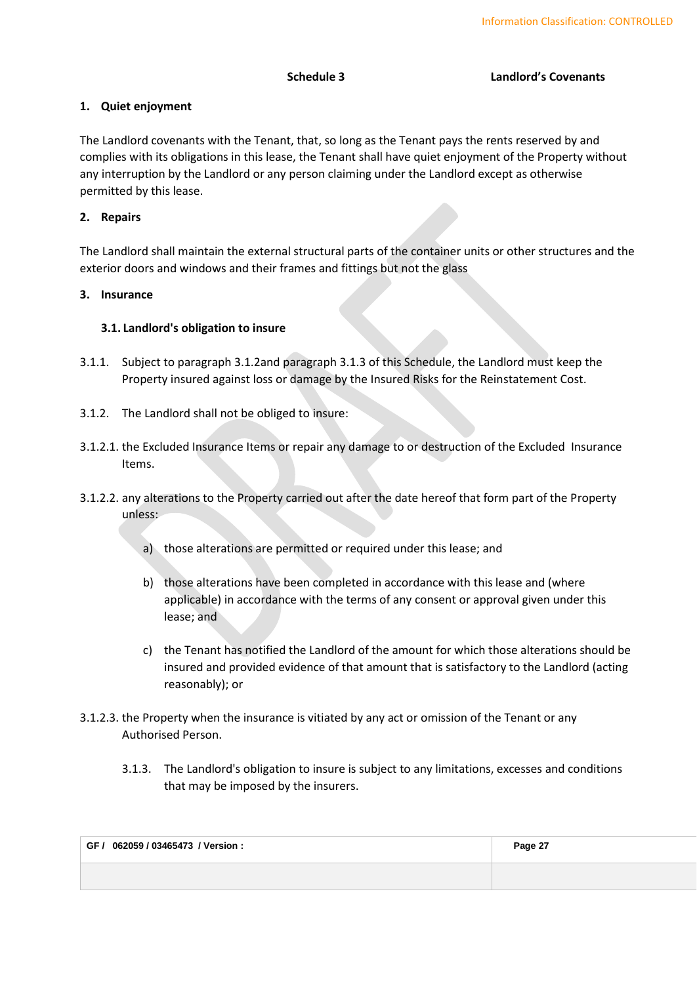# <span id="page-26-0"></span>**1. Quiet enjoyment**

The Landlord covenants with the Tenant, that, so long as the Tenant pays the rents reserved by and complies with its obligations in this lease, the Tenant shall have quiet enjoyment of the Property without any interruption by the Landlord or any person claiming under the Landlord except as otherwise permitted by this lease.

# **2. Repairs**

The Landlord shall maintain the external structural parts of the container units or other structures and the exterior doors and windows and their frames and fittings but not the glass

# **3. Insurance**

# **3.1. Landlord's obligation to insure**

- 3.1.1. Subject to paragraph [3.1.2a](#page-26-1)nd paragraph [3.1.3](#page-26-2) of this Schedule, the Landlord must keep the Property insured against loss or damage by the Insured Risks for the Reinstatement Cost.
- <span id="page-26-1"></span>3.1.2. The Landlord shall not be obliged to insure:
- 3.1.2.1. the Excluded Insurance Items or repair any damage to or destruction of the Excluded Insurance Items.
- 3.1.2.2. any alterations to the Property carried out after the date hereof that form part of the Property unless:
	- a) those alterations are permitted or required under this lease; and
	- b) those alterations have been completed in accordance with this lease and (where applicable) in accordance with the terms of any consent or approval given under this lease; and
	- c) the Tenant has notified the Landlord of the amount for which those alterations should be insured and provided evidence of that amount that is satisfactory to the Landlord (acting reasonably); or
- <span id="page-26-2"></span>3.1.2.3. the Property when the insurance is vitiated by any act or omission of the Tenant or any Authorised Person.
	- 3.1.3. The Landlord's obligation to insure is subject to any limitations, excesses and conditions that may be imposed by the insurers.

| GF / 062059 / 03465473 / Version : | Page 27 |
|------------------------------------|---------|
|                                    |         |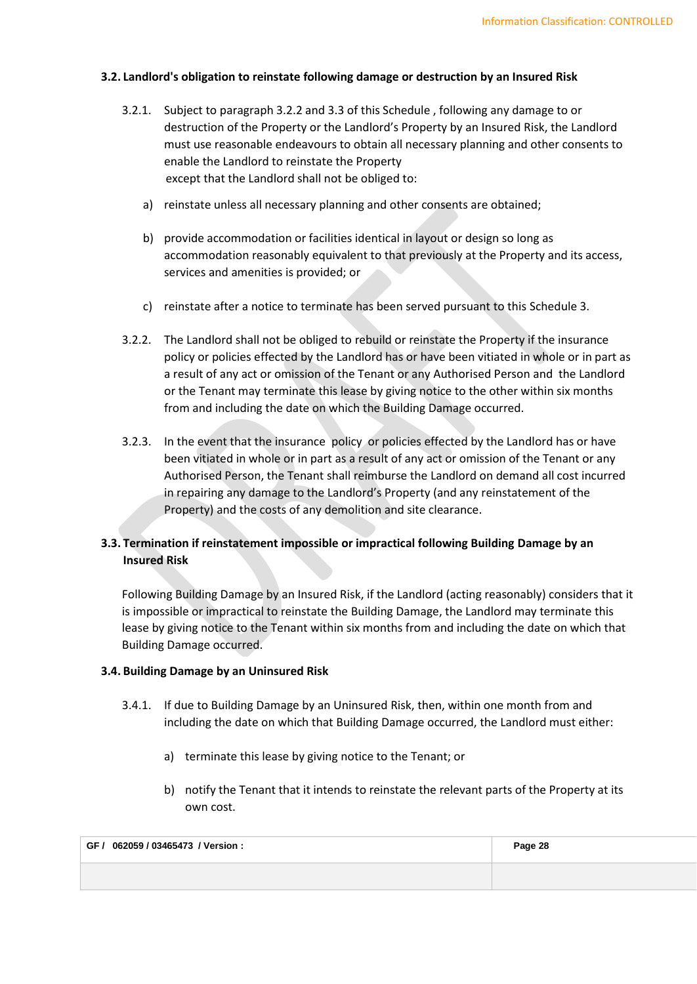### **3.2. Landlord's obligation to reinstate following damage or destruction by an Insured Risk**

- 3.2.1. Subject to paragraph [3.2.2](#page-27-0) and [3.3](#page-27-1) of this Schedule , following any damage to or destruction of the Property or the Landlord's Property by an Insured Risk, the Landlord must use reasonable endeavours to obtain all necessary planning and other consents to enable the Landlord to reinstate the Property except that the Landlord shall not be obliged to:
	- a) reinstate unless all necessary planning and other consents are obtained;
	- b) provide accommodation or facilities identical in layout or design so long as accommodation reasonably equivalent to that previously at the Property and its access, services and amenities is provided; or
	- c) reinstate after a notice to terminate has been served pursuant to this Schedule 3.
- <span id="page-27-0"></span>3.2.2. The Landlord shall not be obliged to rebuild or reinstate the Property if the insurance policy or policies effected by the Landlord has or have been vitiated in whole or in part as a result of any act or omission of the Tenant or any Authorised Person and the Landlord or the Tenant may terminate this lease by giving notice to the other within six months from and including the date on which the Building Damage occurred.
- <span id="page-27-4"></span>3.2.3. In the event that the insurance policy or policies effected by the Landlord has or have been vitiated in whole or in part as a result of any act or omission of the Tenant or any Authorised Person, the Tenant shall reimburse the Landlord on demand all cost incurred in repairing any damage to the Landlord's Property (and any reinstatement of the Property) and the costs of any demolition and site clearance.

# <span id="page-27-1"></span>**3.3. Termination if reinstatement impossible or impractical following Building Damage by an Insured Risk**

Following Building Damage by an Insured Risk, if the Landlord (acting reasonably) considers that it is impossible or impractical to reinstate the Building Damage, the Landlord may terminate this lease by giving notice to the Tenant within six months from and including the date on which that Building Damage occurred.

#### <span id="page-27-2"></span>**3.4. Building Damage by an Uninsured Risk**

- <span id="page-27-3"></span>3.4.1. If due to Building Damage by an Uninsured Risk, then, within one month from and including the date on which that Building Damage occurred, the Landlord must either:
	- a) terminate this lease by giving notice to the Tenant; or
	- b) notify the Tenant that it intends to reinstate the relevant parts of the Property at its own cost.

| GF / 062059 / 03465473 / Version : | Page 28 |
|------------------------------------|---------|
|                                    |         |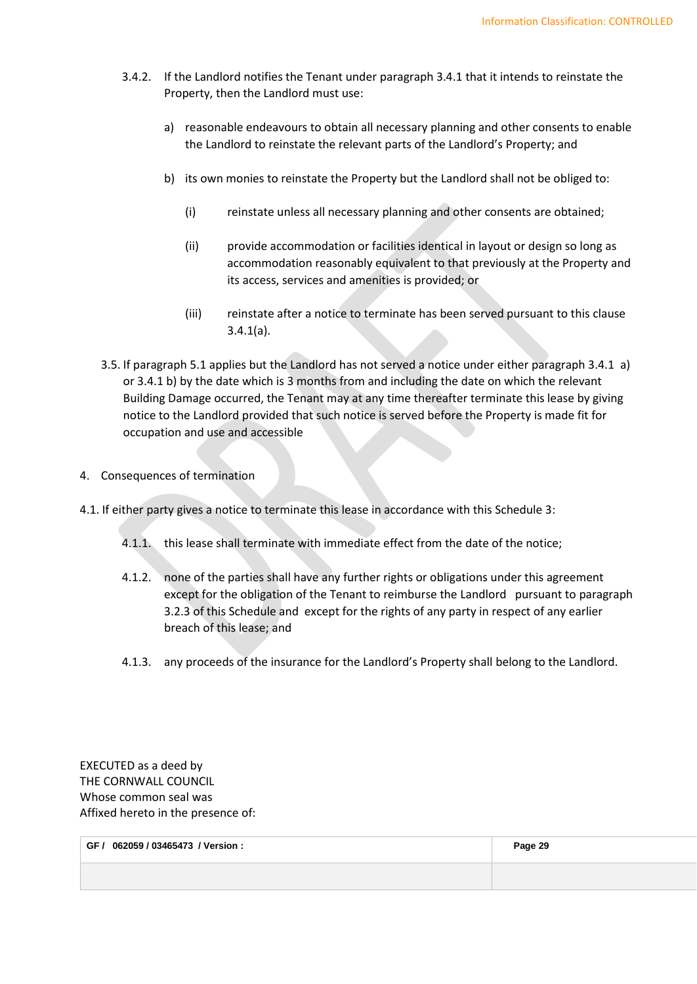- 3.4.2. If the Landlord notifies the Tenant under paragraph [3.4.1](#page-27-2) that it intends to reinstate the Property, then the Landlord must use:
	- a) reasonable endeavours to obtain all necessary planning and other consents to enable the Landlord to reinstate the relevant parts of the Landlord's Property; and
	- b) its own monies to reinstate the Property but the Landlord shall not be obliged to:
		- (i) reinstate unless all necessary planning and other consents are obtained;
		- (ii) provide accommodation or facilities identical in layout or design so long as accommodation reasonably equivalent to that previously at the Property and its access, services and amenities is provided; or
		- (iii) reinstate after a notice to terminate has been served pursuant to this clause [3.4.1\(](#page-27-2)[a\).](#page-27-3)
- 3.5. If paragraph 5.1 applies but the Landlord has not served a notice under either paragraph 3.4.1 a) or 3.4.1 b) by the date which is 3 months from and including the date on which the relevant Building Damage occurred, the Tenant may at any time thereafter terminate this lease by giving notice to the Landlord provided that such notice is served before the Property is made fit for occupation and use and accessible
- 4. Consequences of termination
- 4.1. If either party gives a notice to terminate this lease in accordance with this [Schedule 3:](#page-26-0)
	- 4.1.1. this lease shall terminate with immediate effect from the date of the notice;
	- 4.1.2. none of the parties shall have any further rights or obligations under this agreement except for the obligation of the Tenant to reimburse the Landlord pursuant to paragraph [3.2.3](#page-27-4) of this Schedule and except for the rights of any party in respect of any earlier breach of this lease; and
	- 4.1.3. any proceeds of the insurance for the Landlord's Property shall belong to the Landlord.

EXECUTED as a deed by THE CORNWALL COUNCIL Whose common seal was Affixed hereto in the presence of:

| 062059 / 03465473 / Version :<br>GF | Page 29 |
|-------------------------------------|---------|
|                                     |         |